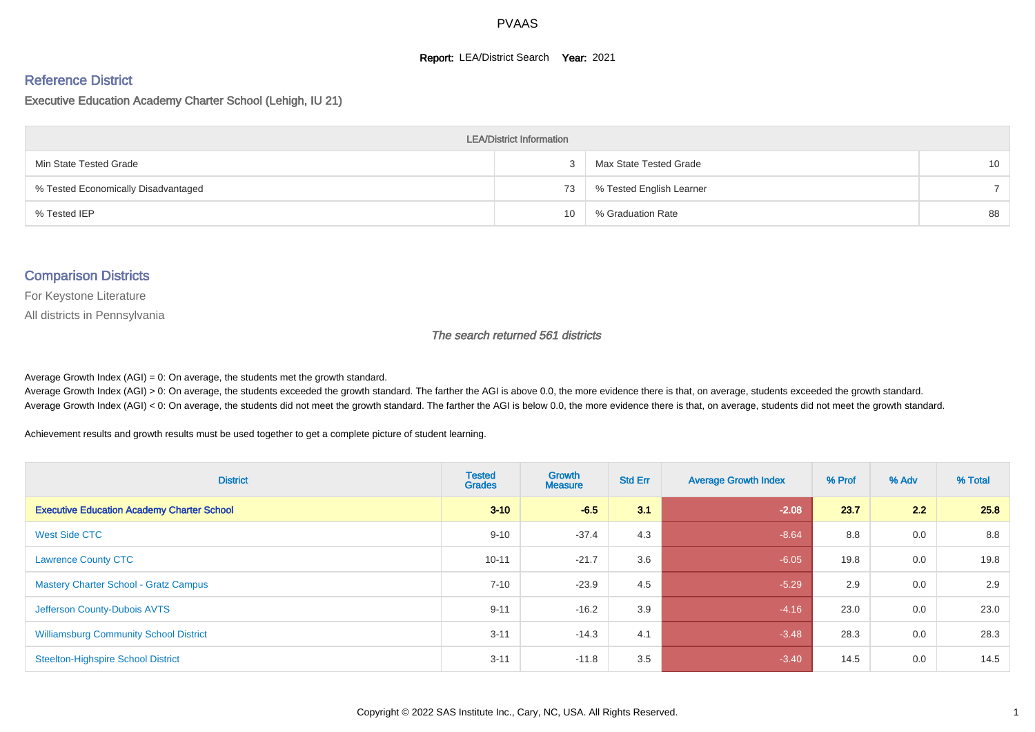#### **Report: LEA/District Search Year: 2021**

#### Reference District

#### Executive Education Academy Charter School (Lehigh, IU 21)

| <b>LEA/District Information</b>     |    |                          |                 |  |  |  |  |  |  |  |
|-------------------------------------|----|--------------------------|-----------------|--|--|--|--|--|--|--|
| Min State Tested Grade              |    | Max State Tested Grade   | 10 <sup>°</sup> |  |  |  |  |  |  |  |
| % Tested Economically Disadvantaged | 73 | % Tested English Learner |                 |  |  |  |  |  |  |  |
| % Tested IEP                        | 10 | % Graduation Rate        | 88              |  |  |  |  |  |  |  |

#### Comparison Districts

For Keystone Literature

All districts in Pennsylvania

The search returned 561 districts

Average Growth Index  $(AGI) = 0$ : On average, the students met the growth standard.

Average Growth Index (AGI) > 0: On average, the students exceeded the growth standard. The farther the AGI is above 0.0, the more evidence there is that, on average, students exceeded the growth standard. Average Growth Index (AGI) < 0: On average, the students did not meet the growth standard. The farther the AGI is below 0.0, the more evidence there is that, on average, students did not meet the growth standard.

Achievement results and growth results must be used together to get a complete picture of student learning.

| <b>District</b>                                   | <b>Tested</b><br><b>Grades</b> | Growth<br><b>Measure</b> | <b>Std Err</b> | <b>Average Growth Index</b> | % Prof | % Adv | % Total |
|---------------------------------------------------|--------------------------------|--------------------------|----------------|-----------------------------|--------|-------|---------|
| <b>Executive Education Academy Charter School</b> | $3 - 10$                       | $-6.5$                   | 3.1            | $-2.08$                     | 23.7   | 2.2   | 25.8    |
| <b>West Side CTC</b>                              | $9 - 10$                       | $-37.4$                  | 4.3            | $-8.64$                     | 8.8    | 0.0   | 8.8     |
| <b>Lawrence County CTC</b>                        | $10 - 11$                      | $-21.7$                  | 3.6            | $-6.05$                     | 19.8   | 0.0   | 19.8    |
| <b>Mastery Charter School - Gratz Campus</b>      | $7 - 10$                       | $-23.9$                  | 4.5            | $-5.29$                     | 2.9    | 0.0   | 2.9     |
| Jefferson County-Dubois AVTS                      | $9 - 11$                       | $-16.2$                  | 3.9            | $-4.16$                     | 23.0   | 0.0   | 23.0    |
| <b>Williamsburg Community School District</b>     | $3 - 11$                       | $-14.3$                  | 4.1            | $-3.48$                     | 28.3   | 0.0   | 28.3    |
| <b>Steelton-Highspire School District</b>         | $3 - 11$                       | $-11.8$                  | 3.5            | $-3.40$                     | 14.5   | 0.0   | 14.5    |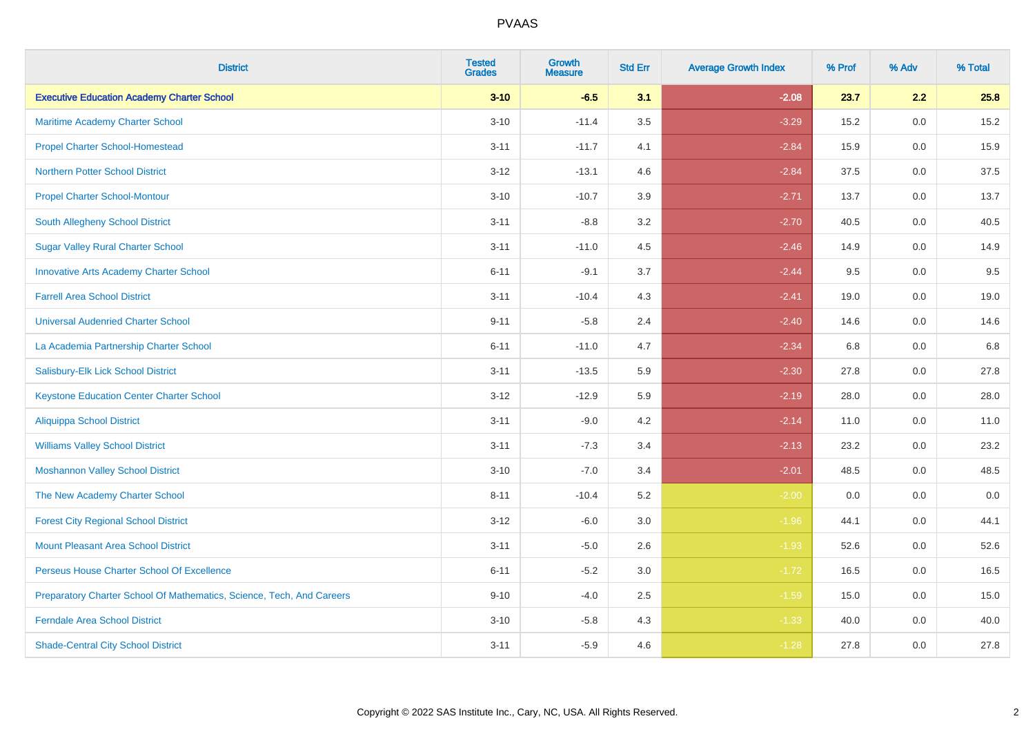| <b>District</b>                                                       | <b>Tested</b><br><b>Grades</b> | <b>Growth</b><br><b>Measure</b> | <b>Std Err</b> | <b>Average Growth Index</b> | % Prof | % Adv   | % Total |
|-----------------------------------------------------------------------|--------------------------------|---------------------------------|----------------|-----------------------------|--------|---------|---------|
| <b>Executive Education Academy Charter School</b>                     | $3 - 10$                       | $-6.5$                          | 3.1            | $-2.08$                     | 23.7   | 2.2     | 25.8    |
| Maritime Academy Charter School                                       | $3 - 10$                       | $-11.4$                         | 3.5            | $-3.29$                     | 15.2   | $0.0\,$ | 15.2    |
| <b>Propel Charter School-Homestead</b>                                | $3 - 11$                       | $-11.7$                         | 4.1            | $-2.84$                     | 15.9   | 0.0     | 15.9    |
| <b>Northern Potter School District</b>                                | $3 - 12$                       | $-13.1$                         | 4.6            | $-2.84$                     | 37.5   | 0.0     | 37.5    |
| <b>Propel Charter School-Montour</b>                                  | $3 - 10$                       | $-10.7$                         | 3.9            | $-2.71$                     | 13.7   | 0.0     | 13.7    |
| South Allegheny School District                                       | $3 - 11$                       | $-8.8$                          | 3.2            | $-2.70$                     | 40.5   | 0.0     | 40.5    |
| <b>Sugar Valley Rural Charter School</b>                              | $3 - 11$                       | $-11.0$                         | 4.5            | $-2.46$                     | 14.9   | 0.0     | 14.9    |
| <b>Innovative Arts Academy Charter School</b>                         | $6 - 11$                       | $-9.1$                          | 3.7            | $-2.44$                     | 9.5    | 0.0     | 9.5     |
| <b>Farrell Area School District</b>                                   | $3 - 11$                       | $-10.4$                         | 4.3            | $-2.41$                     | 19.0   | 0.0     | 19.0    |
| <b>Universal Audenried Charter School</b>                             | $9 - 11$                       | $-5.8$                          | 2.4            | $-2.40$                     | 14.6   | 0.0     | 14.6    |
| La Academia Partnership Charter School                                | $6 - 11$                       | $-11.0$                         | 4.7            | $-2.34$                     | 6.8    | 0.0     | 6.8     |
| Salisbury-Elk Lick School District                                    | $3 - 11$                       | $-13.5$                         | 5.9            | $-2.30$                     | 27.8   | 0.0     | 27.8    |
| <b>Keystone Education Center Charter School</b>                       | $3 - 12$                       | $-12.9$                         | 5.9            | $-2.19$                     | 28.0   | 0.0     | 28.0    |
| <b>Aliquippa School District</b>                                      | $3 - 11$                       | $-9.0$                          | 4.2            | $-2.14$                     | 11.0   | 0.0     | 11.0    |
| <b>Williams Valley School District</b>                                | $3 - 11$                       | $-7.3$                          | 3.4            | $-2.13$                     | 23.2   | 0.0     | 23.2    |
| <b>Moshannon Valley School District</b>                               | $3 - 10$                       | $-7.0$                          | 3.4            | $-2.01$                     | 48.5   | $0.0\,$ | 48.5    |
| The New Academy Charter School                                        | $8 - 11$                       | $-10.4$                         | 5.2            | $-2.00$                     | 0.0    | 0.0     | 0.0     |
| <b>Forest City Regional School District</b>                           | $3 - 12$                       | $-6.0$                          | 3.0            | $-1.96$                     | 44.1   | 0.0     | 44.1    |
| <b>Mount Pleasant Area School District</b>                            | $3 - 11$                       | $-5.0$                          | 2.6            | $-1.93$                     | 52.6   | 0.0     | 52.6    |
| Perseus House Charter School Of Excellence                            | $6 - 11$                       | $-5.2$                          | 3.0            | $-1.72$                     | 16.5   | 0.0     | 16.5    |
| Preparatory Charter School Of Mathematics, Science, Tech, And Careers | $9 - 10$                       | $-4.0$                          | 2.5            | $-1.59$                     | 15.0   | 0.0     | 15.0    |
| <b>Ferndale Area School District</b>                                  | $3 - 10$                       | $-5.8$                          | 4.3            | $-1.33$                     | 40.0   | 0.0     | 40.0    |
| <b>Shade-Central City School District</b>                             | $3 - 11$                       | $-5.9$                          | 4.6            | $-1.28$                     | 27.8   | 0.0     | 27.8    |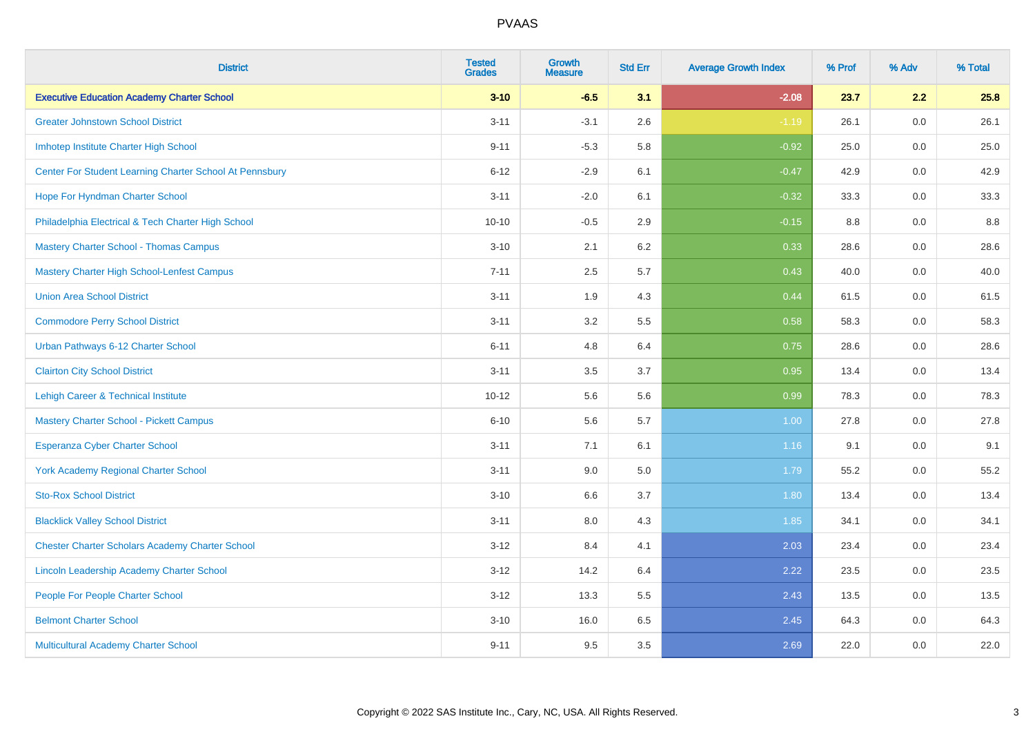| <b>District</b>                                         | <b>Tested</b><br><b>Grades</b> | <b>Growth</b><br><b>Measure</b> | <b>Std Err</b> | <b>Average Growth Index</b> | % Prof | % Adv   | % Total |
|---------------------------------------------------------|--------------------------------|---------------------------------|----------------|-----------------------------|--------|---------|---------|
| <b>Executive Education Academy Charter School</b>       | $3 - 10$                       | $-6.5$                          | 3.1            | $-2.08$                     | 23.7   | 2.2     | 25.8    |
| <b>Greater Johnstown School District</b>                | $3 - 11$                       | $-3.1$                          | 2.6            | $-1.19$                     | 26.1   | $0.0\,$ | 26.1    |
| Imhotep Institute Charter High School                   | $9 - 11$                       | $-5.3$                          | 5.8            | $-0.92$                     | 25.0   | 0.0     | 25.0    |
| Center For Student Learning Charter School At Pennsbury | $6 - 12$                       | $-2.9$                          | 6.1            | $-0.47$                     | 42.9   | 0.0     | 42.9    |
| Hope For Hyndman Charter School                         | $3 - 11$                       | $-2.0$                          | 6.1            | $-0.32$                     | 33.3   | 0.0     | 33.3    |
| Philadelphia Electrical & Tech Charter High School      | $10 - 10$                      | $-0.5$                          | 2.9            | $-0.15$                     | 8.8    | 0.0     | 8.8     |
| <b>Mastery Charter School - Thomas Campus</b>           | $3 - 10$                       | 2.1                             | 6.2            | 0.33                        | 28.6   | 0.0     | 28.6    |
| <b>Mastery Charter High School-Lenfest Campus</b>       | $7 - 11$                       | 2.5                             | 5.7            | 0.43                        | 40.0   | 0.0     | 40.0    |
| <b>Union Area School District</b>                       | $3 - 11$                       | 1.9                             | 4.3            | 0.44                        | 61.5   | 0.0     | 61.5    |
| <b>Commodore Perry School District</b>                  | $3 - 11$                       | 3.2                             | 5.5            | 0.58                        | 58.3   | 0.0     | 58.3    |
| Urban Pathways 6-12 Charter School                      | $6 - 11$                       | 4.8                             | 6.4            | 0.75                        | 28.6   | 0.0     | 28.6    |
| <b>Clairton City School District</b>                    | $3 - 11$                       | 3.5                             | 3.7            | 0.95                        | 13.4   | 0.0     | 13.4    |
| Lehigh Career & Technical Institute                     | $10 - 12$                      | 5.6                             | 5.6            | 0.99                        | 78.3   | 0.0     | 78.3    |
| <b>Mastery Charter School - Pickett Campus</b>          | $6 - 10$                       | 5.6                             | 5.7            | 1.00                        | 27.8   | 0.0     | 27.8    |
| <b>Esperanza Cyber Charter School</b>                   | $3 - 11$                       | 7.1                             | 6.1            | 1.16                        | 9.1    | 0.0     | 9.1     |
| <b>York Academy Regional Charter School</b>             | $3 - 11$                       | 9.0                             | 5.0            | 1.79                        | 55.2   | $0.0\,$ | 55.2    |
| <b>Sto-Rox School District</b>                          | $3 - 10$                       | 6.6                             | 3.7            | 1.80                        | 13.4   | 0.0     | 13.4    |
| <b>Blacklick Valley School District</b>                 | $3 - 11$                       | 8.0                             | 4.3            | 1.85                        | 34.1   | 0.0     | 34.1    |
| <b>Chester Charter Scholars Academy Charter School</b>  | $3 - 12$                       | 8.4                             | 4.1            | 2.03                        | 23.4   | 0.0     | 23.4    |
| Lincoln Leadership Academy Charter School               | $3 - 12$                       | 14.2                            | 6.4            | 2.22                        | 23.5   | 0.0     | 23.5    |
| People For People Charter School                        | $3 - 12$                       | 13.3                            | 5.5            | 2.43                        | 13.5   | 0.0     | 13.5    |
| <b>Belmont Charter School</b>                           | $3 - 10$                       | 16.0                            | 6.5            | 2.45                        | 64.3   | 0.0     | 64.3    |
| Multicultural Academy Charter School                    | $9 - 11$                       | 9.5                             | 3.5            | 2.69                        | 22.0   | 0.0     | 22.0    |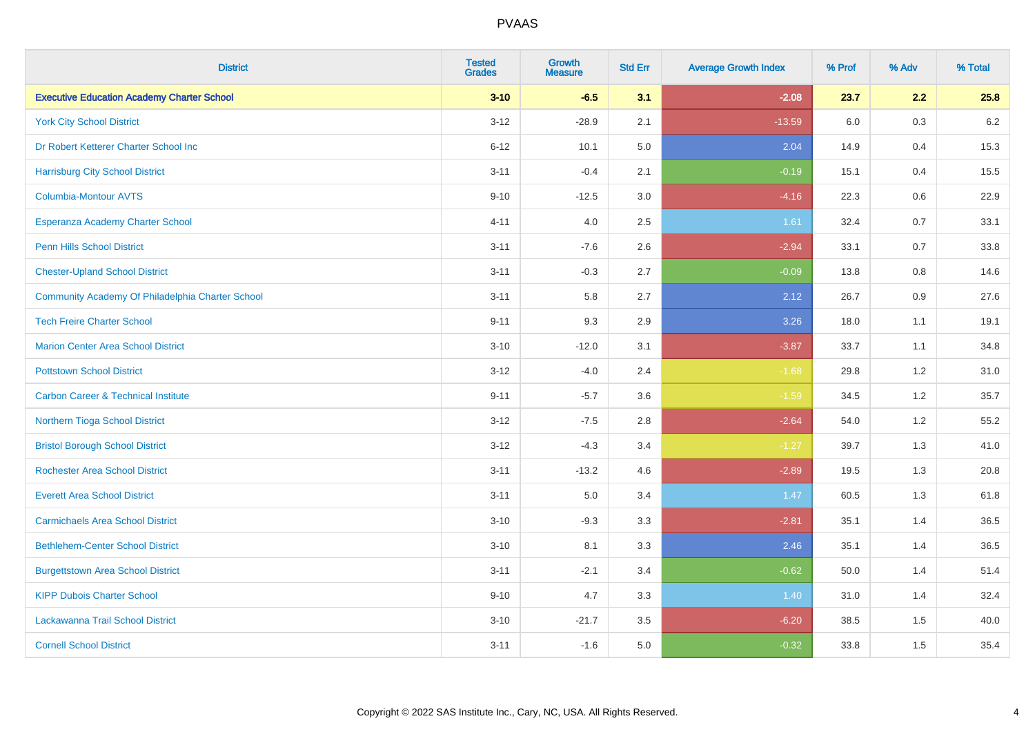| <b>District</b>                                   | <b>Tested</b><br><b>Grades</b> | <b>Growth</b><br><b>Measure</b> | <b>Std Err</b> | <b>Average Growth Index</b> | % Prof | % Adv   | % Total |
|---------------------------------------------------|--------------------------------|---------------------------------|----------------|-----------------------------|--------|---------|---------|
| <b>Executive Education Academy Charter School</b> | $3 - 10$                       | $-6.5$                          | 3.1            | $-2.08$                     | 23.7   | 2.2     | 25.8    |
| <b>York City School District</b>                  | $3 - 12$                       | $-28.9$                         | 2.1            | $-13.59$                    | 6.0    | 0.3     | $6.2\,$ |
| Dr Robert Ketterer Charter School Inc             | $6 - 12$                       | 10.1                            | 5.0            | 2.04                        | 14.9   | 0.4     | 15.3    |
| <b>Harrisburg City School District</b>            | $3 - 11$                       | $-0.4$                          | 2.1            | $-0.19$                     | 15.1   | 0.4     | 15.5    |
| <b>Columbia-Montour AVTS</b>                      | $9 - 10$                       | $-12.5$                         | 3.0            | $-4.16$                     | 22.3   | 0.6     | 22.9    |
| Esperanza Academy Charter School                  | $4 - 11$                       | 4.0                             | 2.5            | 1.61                        | 32.4   | 0.7     | 33.1    |
| <b>Penn Hills School District</b>                 | $3 - 11$                       | $-7.6$                          | 2.6            | $-2.94$                     | 33.1   | 0.7     | 33.8    |
| <b>Chester-Upland School District</b>             | $3 - 11$                       | $-0.3$                          | 2.7            | $-0.09$                     | 13.8   | 0.8     | 14.6    |
| Community Academy Of Philadelphia Charter School  | $3 - 11$                       | 5.8                             | 2.7            | 2.12                        | 26.7   | 0.9     | 27.6    |
| <b>Tech Freire Charter School</b>                 | $9 - 11$                       | 9.3                             | 2.9            | 3.26                        | 18.0   | 1.1     | 19.1    |
| <b>Marion Center Area School District</b>         | $3 - 10$                       | $-12.0$                         | 3.1            | $-3.87$                     | 33.7   | 1.1     | 34.8    |
| <b>Pottstown School District</b>                  | $3 - 12$                       | $-4.0$                          | 2.4            | $-1.68$                     | 29.8   | 1.2     | 31.0    |
| <b>Carbon Career &amp; Technical Institute</b>    | $9 - 11$                       | $-5.7$                          | 3.6            | $-1.59$                     | 34.5   | $1.2\,$ | 35.7    |
| Northern Tioga School District                    | $3 - 12$                       | $-7.5$                          | 2.8            | $-2.64$                     | 54.0   | 1.2     | 55.2    |
| <b>Bristol Borough School District</b>            | $3 - 12$                       | $-4.3$                          | 3.4            | $-1.27$                     | 39.7   | 1.3     | 41.0    |
| <b>Rochester Area School District</b>             | $3 - 11$                       | $-13.2$                         | 4.6            | $-2.89$                     | 19.5   | 1.3     | 20.8    |
| <b>Everett Area School District</b>               | $3 - 11$                       | 5.0                             | 3.4            | 1.47                        | 60.5   | 1.3     | 61.8    |
| <b>Carmichaels Area School District</b>           | $3 - 10$                       | $-9.3$                          | 3.3            | $-2.81$                     | 35.1   | 1.4     | 36.5    |
| <b>Bethlehem-Center School District</b>           | $3 - 10$                       | 8.1                             | 3.3            | 2.46                        | 35.1   | 1.4     | 36.5    |
| <b>Burgettstown Area School District</b>          | $3 - 11$                       | $-2.1$                          | 3.4            | $-0.62$                     | 50.0   | 1.4     | 51.4    |
| <b>KIPP Dubois Charter School</b>                 | $9 - 10$                       | 4.7                             | 3.3            | 1.40                        | 31.0   | 1.4     | 32.4    |
| Lackawanna Trail School District                  | $3 - 10$                       | $-21.7$                         | 3.5            | $-6.20$                     | 38.5   | 1.5     | 40.0    |
| <b>Cornell School District</b>                    | $3 - 11$                       | $-1.6$                          | 5.0            | $-0.32$                     | 33.8   | 1.5     | 35.4    |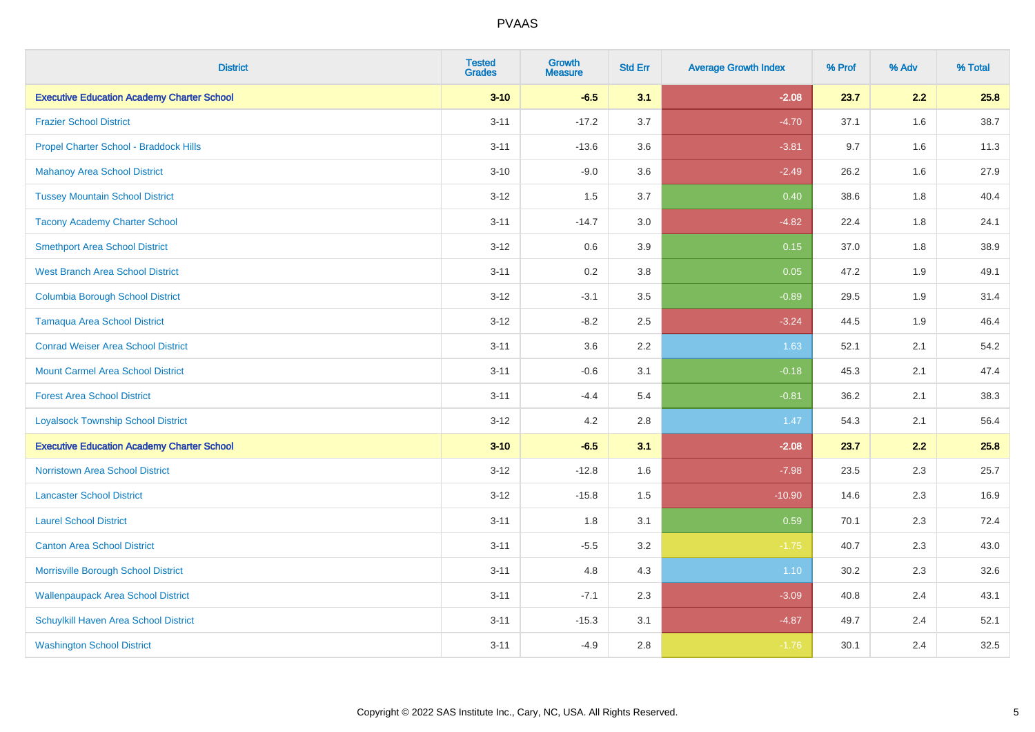| <b>District</b>                                   | <b>Tested</b><br><b>Grades</b> | <b>Growth</b><br><b>Measure</b> | <b>Std Err</b> | <b>Average Growth Index</b> | % Prof | % Adv | % Total |
|---------------------------------------------------|--------------------------------|---------------------------------|----------------|-----------------------------|--------|-------|---------|
| <b>Executive Education Academy Charter School</b> | $3 - 10$                       | $-6.5$                          | 3.1            | $-2.08$                     | 23.7   | 2.2   | 25.8    |
| <b>Frazier School District</b>                    | $3 - 11$                       | $-17.2$                         | 3.7            | $-4.70$                     | 37.1   | 1.6   | 38.7    |
| Propel Charter School - Braddock Hills            | $3 - 11$                       | $-13.6$                         | 3.6            | $-3.81$                     | 9.7    | 1.6   | 11.3    |
| <b>Mahanoy Area School District</b>               | $3 - 10$                       | $-9.0$                          | 3.6            | $-2.49$                     | 26.2   | 1.6   | 27.9    |
| <b>Tussey Mountain School District</b>            | $3 - 12$                       | 1.5                             | 3.7            | 0.40                        | 38.6   | 1.8   | 40.4    |
| <b>Tacony Academy Charter School</b>              | $3 - 11$                       | $-14.7$                         | 3.0            | $-4.82$                     | 22.4   | 1.8   | 24.1    |
| <b>Smethport Area School District</b>             | $3 - 12$                       | 0.6                             | 3.9            | 0.15                        | 37.0   | 1.8   | 38.9    |
| <b>West Branch Area School District</b>           | $3 - 11$                       | 0.2                             | 3.8            | 0.05                        | 47.2   | 1.9   | 49.1    |
| <b>Columbia Borough School District</b>           | $3 - 12$                       | $-3.1$                          | 3.5            | $-0.89$                     | 29.5   | 1.9   | 31.4    |
| <b>Tamaqua Area School District</b>               | $3 - 12$                       | $-8.2$                          | 2.5            | $-3.24$                     | 44.5   | 1.9   | 46.4    |
| <b>Conrad Weiser Area School District</b>         | $3 - 11$                       | 3.6                             | 2.2            | 1.63                        | 52.1   | 2.1   | 54.2    |
| <b>Mount Carmel Area School District</b>          | $3 - 11$                       | $-0.6$                          | 3.1            | $-0.18$                     | 45.3   | 2.1   | 47.4    |
| <b>Forest Area School District</b>                | $3 - 11$                       | $-4.4$                          | 5.4            | $-0.81$                     | 36.2   | 2.1   | 38.3    |
| <b>Loyalsock Township School District</b>         | $3 - 12$                       | 4.2                             | 2.8            | 1.47                        | 54.3   | 2.1   | 56.4    |
| <b>Executive Education Academy Charter School</b> | $3 - 10$                       | $-6.5$                          | 3.1            | $-2.08$                     | 23.7   | 2.2   | 25.8    |
| <b>Norristown Area School District</b>            | $3 - 12$                       | $-12.8$                         | 1.6            | $-7.98$                     | 23.5   | 2.3   | 25.7    |
| <b>Lancaster School District</b>                  | $3 - 12$                       | $-15.8$                         | 1.5            | $-10.90$                    | 14.6   | 2.3   | 16.9    |
| <b>Laurel School District</b>                     | $3 - 11$                       | 1.8                             | 3.1            | 0.59                        | 70.1   | 2.3   | 72.4    |
| <b>Canton Area School District</b>                | $3 - 11$                       | $-5.5$                          | 3.2            | $-1.75$                     | 40.7   | 2.3   | 43.0    |
| Morrisville Borough School District               | $3 - 11$                       | 4.8                             | 4.3            | 1.10                        | 30.2   | 2.3   | 32.6    |
| <b>Wallenpaupack Area School District</b>         | $3 - 11$                       | $-7.1$                          | 2.3            | $-3.09$                     | 40.8   | 2.4   | 43.1    |
| Schuylkill Haven Area School District             | $3 - 11$                       | $-15.3$                         | 3.1            | $-4.87$                     | 49.7   | 2.4   | 52.1    |
| <b>Washington School District</b>                 | $3 - 11$                       | $-4.9$                          | 2.8            | $-1.76$                     | 30.1   | 2.4   | 32.5    |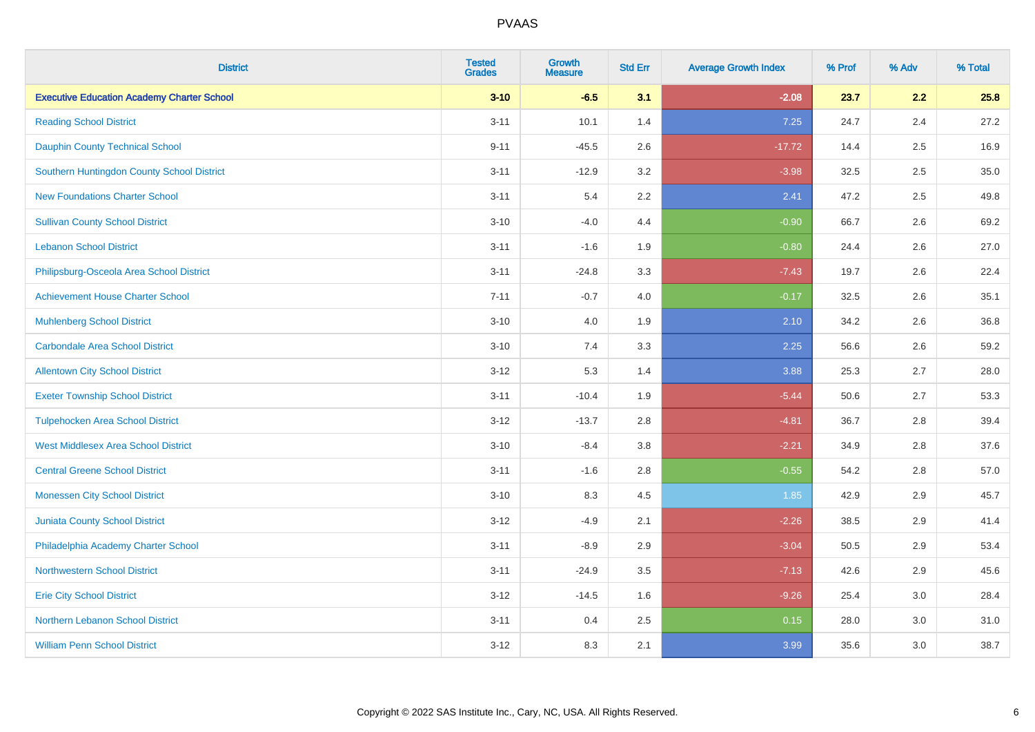| <b>District</b>                                   | <b>Tested</b><br><b>Grades</b> | <b>Growth</b><br><b>Measure</b> | <b>Std Err</b> | <b>Average Growth Index</b> | % Prof | % Adv | % Total |
|---------------------------------------------------|--------------------------------|---------------------------------|----------------|-----------------------------|--------|-------|---------|
| <b>Executive Education Academy Charter School</b> | $3 - 10$                       | $-6.5$                          | 3.1            | $-2.08$                     | 23.7   | 2.2   | 25.8    |
| <b>Reading School District</b>                    | $3 - 11$                       | 10.1                            | 1.4            | 7.25                        | 24.7   | 2.4   | 27.2    |
| <b>Dauphin County Technical School</b>            | $9 - 11$                       | $-45.5$                         | 2.6            | $-17.72$                    | 14.4   | 2.5   | 16.9    |
| Southern Huntingdon County School District        | $3 - 11$                       | $-12.9$                         | 3.2            | $-3.98$                     | 32.5   | 2.5   | 35.0    |
| <b>New Foundations Charter School</b>             | $3 - 11$                       | 5.4                             | 2.2            | 2.41                        | 47.2   | 2.5   | 49.8    |
| <b>Sullivan County School District</b>            | $3 - 10$                       | $-4.0$                          | 4.4            | $-0.90$                     | 66.7   | 2.6   | 69.2    |
| <b>Lebanon School District</b>                    | $3 - 11$                       | $-1.6$                          | 1.9            | $-0.80$                     | 24.4   | 2.6   | 27.0    |
| Philipsburg-Osceola Area School District          | $3 - 11$                       | $-24.8$                         | 3.3            | $-7.43$                     | 19.7   | 2.6   | 22.4    |
| <b>Achievement House Charter School</b>           | $7 - 11$                       | $-0.7$                          | 4.0            | $-0.17$                     | 32.5   | 2.6   | 35.1    |
| <b>Muhlenberg School District</b>                 | $3 - 10$                       | 4.0                             | 1.9            | 2.10                        | 34.2   | 2.6   | 36.8    |
| <b>Carbondale Area School District</b>            | $3 - 10$                       | 7.4                             | 3.3            | 2.25                        | 56.6   | 2.6   | 59.2    |
| <b>Allentown City School District</b>             | $3 - 12$                       | 5.3                             | 1.4            | 3.88                        | 25.3   | 2.7   | 28.0    |
| <b>Exeter Township School District</b>            | $3 - 11$                       | $-10.4$                         | 1.9            | $-5.44$                     | 50.6   | 2.7   | 53.3    |
| <b>Tulpehocken Area School District</b>           | $3 - 12$                       | $-13.7$                         | 2.8            | $-4.81$                     | 36.7   | 2.8   | 39.4    |
| <b>West Middlesex Area School District</b>        | $3 - 10$                       | $-8.4$                          | 3.8            | $-2.21$                     | 34.9   | 2.8   | 37.6    |
| <b>Central Greene School District</b>             | $3 - 11$                       | $-1.6$                          | 2.8            | $-0.55$                     | 54.2   | 2.8   | 57.0    |
| <b>Monessen City School District</b>              | $3 - 10$                       | 8.3                             | 4.5            | 1.85                        | 42.9   | 2.9   | 45.7    |
| <b>Juniata County School District</b>             | $3 - 12$                       | $-4.9$                          | 2.1            | $-2.26$                     | 38.5   | 2.9   | 41.4    |
| Philadelphia Academy Charter School               | $3 - 11$                       | $-8.9$                          | 2.9            | $-3.04$                     | 50.5   | 2.9   | 53.4    |
| Northwestern School District                      | $3 - 11$                       | $-24.9$                         | 3.5            | $-7.13$                     | 42.6   | 2.9   | 45.6    |
| <b>Erie City School District</b>                  | $3 - 12$                       | $-14.5$                         | 1.6            | $-9.26$                     | 25.4   | 3.0   | 28.4    |
| Northern Lebanon School District                  | $3 - 11$                       | 0.4                             | 2.5            | 0.15                        | 28.0   | 3.0   | 31.0    |
| <b>William Penn School District</b>               | $3 - 12$                       | 8.3                             | 2.1            | 3.99                        | 35.6   | 3.0   | 38.7    |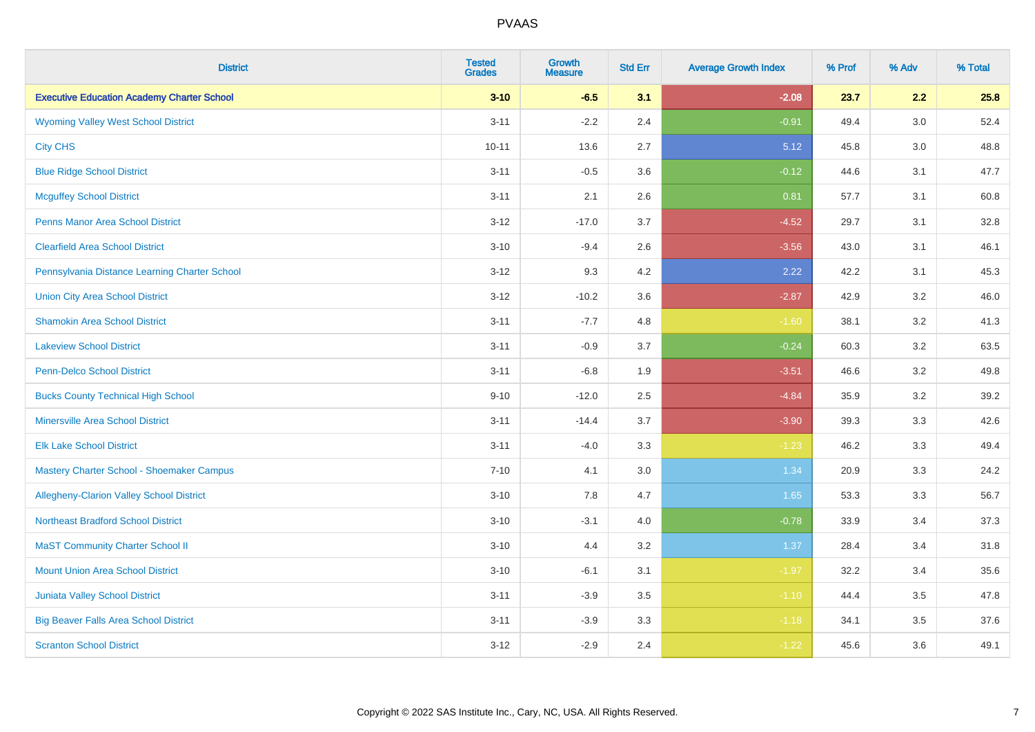| <b>District</b>                                   | <b>Tested</b><br><b>Grades</b> | <b>Growth</b><br><b>Measure</b> | <b>Std Err</b> | <b>Average Growth Index</b> | % Prof | % Adv | % Total |
|---------------------------------------------------|--------------------------------|---------------------------------|----------------|-----------------------------|--------|-------|---------|
| <b>Executive Education Academy Charter School</b> | $3 - 10$                       | $-6.5$                          | 3.1            | $-2.08$                     | 23.7   | 2.2   | 25.8    |
| <b>Wyoming Valley West School District</b>        | $3 - 11$                       | $-2.2$                          | 2.4            | $-0.91$                     | 49.4   | 3.0   | 52.4    |
| <b>City CHS</b>                                   | $10 - 11$                      | 13.6                            | 2.7            | 5.12                        | 45.8   | 3.0   | 48.8    |
| <b>Blue Ridge School District</b>                 | $3 - 11$                       | $-0.5$                          | 3.6            | $-0.12$                     | 44.6   | 3.1   | 47.7    |
| <b>Mcguffey School District</b>                   | $3 - 11$                       | 2.1                             | 2.6            | 0.81                        | 57.7   | 3.1   | 60.8    |
| <b>Penns Manor Area School District</b>           | $3 - 12$                       | $-17.0$                         | 3.7            | $-4.52$                     | 29.7   | 3.1   | 32.8    |
| <b>Clearfield Area School District</b>            | $3 - 10$                       | $-9.4$                          | 2.6            | $-3.56$                     | 43.0   | 3.1   | 46.1    |
| Pennsylvania Distance Learning Charter School     | $3 - 12$                       | 9.3                             | 4.2            | 2.22                        | 42.2   | 3.1   | 45.3    |
| <b>Union City Area School District</b>            | $3 - 12$                       | $-10.2$                         | 3.6            | $-2.87$                     | 42.9   | 3.2   | 46.0    |
| <b>Shamokin Area School District</b>              | $3 - 11$                       | $-7.7$                          | 4.8            | $-1.60$                     | 38.1   | 3.2   | 41.3    |
| <b>Lakeview School District</b>                   | $3 - 11$                       | $-0.9$                          | 3.7            | $-0.24$                     | 60.3   | 3.2   | 63.5    |
| <b>Penn-Delco School District</b>                 | $3 - 11$                       | $-6.8$                          | 1.9            | $-3.51$                     | 46.6   | 3.2   | 49.8    |
| <b>Bucks County Technical High School</b>         | $9 - 10$                       | $-12.0$                         | 2.5            | $-4.84$                     | 35.9   | 3.2   | 39.2    |
| <b>Minersville Area School District</b>           | $3 - 11$                       | $-14.4$                         | 3.7            | $-3.90$                     | 39.3   | 3.3   | 42.6    |
| <b>Elk Lake School District</b>                   | $3 - 11$                       | $-4.0$                          | 3.3            | $-1.23$                     | 46.2   | 3.3   | 49.4    |
| Mastery Charter School - Shoemaker Campus         | $7 - 10$                       | 4.1                             | 3.0            | 1.34                        | 20.9   | 3.3   | 24.2    |
| <b>Allegheny-Clarion Valley School District</b>   | $3 - 10$                       | 7.8                             | 4.7            | 1.65                        | 53.3   | 3.3   | 56.7    |
| <b>Northeast Bradford School District</b>         | $3 - 10$                       | $-3.1$                          | 4.0            | $-0.78$                     | 33.9   | 3.4   | 37.3    |
| <b>MaST Community Charter School II</b>           | $3 - 10$                       | 4.4                             | 3.2            | 1.37                        | 28.4   | 3.4   | 31.8    |
| <b>Mount Union Area School District</b>           | $3 - 10$                       | $-6.1$                          | 3.1            | $-1.97$                     | 32.2   | 3.4   | 35.6    |
| <b>Juniata Valley School District</b>             | $3 - 11$                       | $-3.9$                          | 3.5            | $-1.10$                     | 44.4   | 3.5   | 47.8    |
| <b>Big Beaver Falls Area School District</b>      | $3 - 11$                       | $-3.9$                          | 3.3            | $-1.18$                     | 34.1   | 3.5   | 37.6    |
| <b>Scranton School District</b>                   | $3 - 12$                       | $-2.9$                          | 2.4            | $-1.22$                     | 45.6   | 3.6   | 49.1    |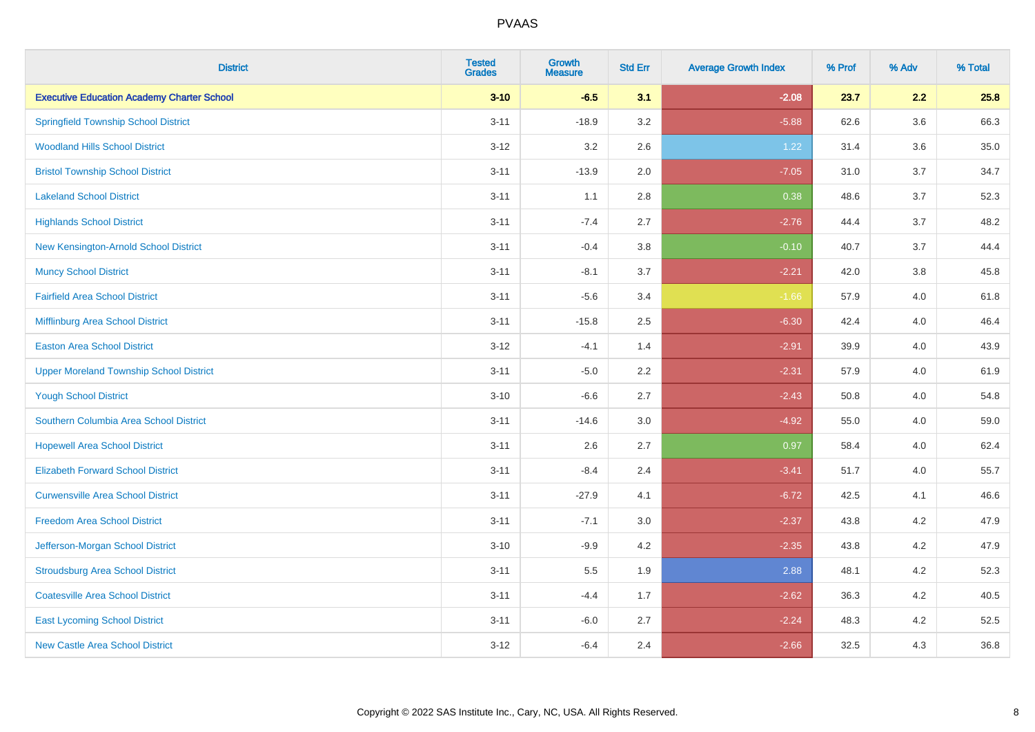| <b>District</b>                                   | <b>Tested</b><br><b>Grades</b> | <b>Growth</b><br><b>Measure</b> | <b>Std Err</b> | <b>Average Growth Index</b> | % Prof | % Adv   | % Total |
|---------------------------------------------------|--------------------------------|---------------------------------|----------------|-----------------------------|--------|---------|---------|
| <b>Executive Education Academy Charter School</b> | $3 - 10$                       | $-6.5$                          | 3.1            | $-2.08$                     | 23.7   | 2.2     | 25.8    |
| <b>Springfield Township School District</b>       | $3 - 11$                       | $-18.9$                         | 3.2            | $-5.88$                     | 62.6   | $3.6\,$ | 66.3    |
| <b>Woodland Hills School District</b>             | $3 - 12$                       | 3.2                             | 2.6            | 1.22                        | 31.4   | 3.6     | 35.0    |
| <b>Bristol Township School District</b>           | $3 - 11$                       | $-13.9$                         | 2.0            | $-7.05$                     | 31.0   | 3.7     | 34.7    |
| <b>Lakeland School District</b>                   | $3 - 11$                       | 1.1                             | 2.8            | 0.38                        | 48.6   | 3.7     | 52.3    |
| <b>Highlands School District</b>                  | $3 - 11$                       | $-7.4$                          | 2.7            | $-2.76$                     | 44.4   | 3.7     | 48.2    |
| New Kensington-Arnold School District             | $3 - 11$                       | $-0.4$                          | 3.8            | $-0.10$                     | 40.7   | 3.7     | 44.4    |
| <b>Muncy School District</b>                      | $3 - 11$                       | $-8.1$                          | 3.7            | $-2.21$                     | 42.0   | 3.8     | 45.8    |
| <b>Fairfield Area School District</b>             | $3 - 11$                       | $-5.6$                          | 3.4            | $-1.66$                     | 57.9   | 4.0     | 61.8    |
| Mifflinburg Area School District                  | $3 - 11$                       | $-15.8$                         | 2.5            | $-6.30$                     | 42.4   | 4.0     | 46.4    |
| <b>Easton Area School District</b>                | $3 - 12$                       | $-4.1$                          | 1.4            | $-2.91$                     | 39.9   | 4.0     | 43.9    |
| <b>Upper Moreland Township School District</b>    | $3 - 11$                       | $-5.0$                          | 2.2            | $-2.31$                     | 57.9   | 4.0     | 61.9    |
| <b>Yough School District</b>                      | $3 - 10$                       | $-6.6$                          | 2.7            | $-2.43$                     | 50.8   | 4.0     | 54.8    |
| Southern Columbia Area School District            | $3 - 11$                       | $-14.6$                         | 3.0            | $-4.92$                     | 55.0   | 4.0     | 59.0    |
| <b>Hopewell Area School District</b>              | $3 - 11$                       | 2.6                             | 2.7            | 0.97                        | 58.4   | 4.0     | 62.4    |
| <b>Elizabeth Forward School District</b>          | $3 - 11$                       | $-8.4$                          | 2.4            | $-3.41$                     | 51.7   | 4.0     | 55.7    |
| <b>Curwensville Area School District</b>          | $3 - 11$                       | $-27.9$                         | 4.1            | $-6.72$                     | 42.5   | 4.1     | 46.6    |
| <b>Freedom Area School District</b>               | $3 - 11$                       | $-7.1$                          | 3.0            | $-2.37$                     | 43.8   | 4.2     | 47.9    |
| Jefferson-Morgan School District                  | $3 - 10$                       | $-9.9$                          | 4.2            | $-2.35$                     | 43.8   | 4.2     | 47.9    |
| <b>Stroudsburg Area School District</b>           | $3 - 11$                       | 5.5                             | 1.9            | 2.88                        | 48.1   | 4.2     | 52.3    |
| <b>Coatesville Area School District</b>           | $3 - 11$                       | $-4.4$                          | 1.7            | $-2.62$                     | 36.3   | 4.2     | 40.5    |
| <b>East Lycoming School District</b>              | $3 - 11$                       | $-6.0$                          | 2.7            | $-2.24$                     | 48.3   | 4.2     | 52.5    |
| <b>New Castle Area School District</b>            | $3 - 12$                       | $-6.4$                          | 2.4            | $-2.66$                     | 32.5   | 4.3     | 36.8    |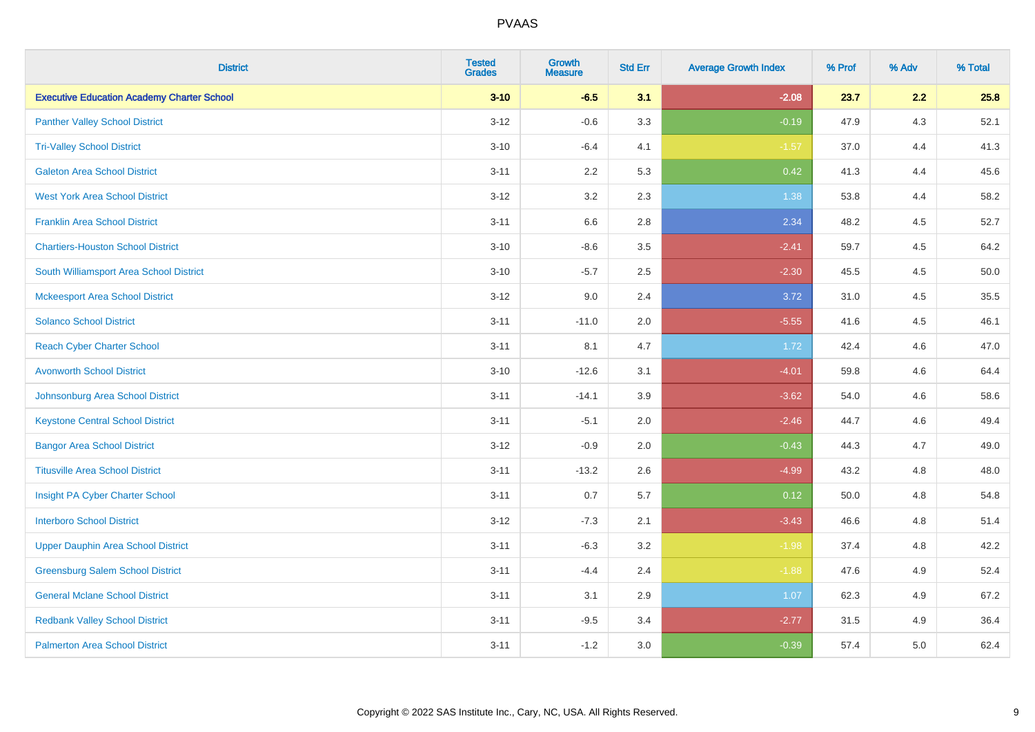| <b>District</b>                                   | <b>Tested</b><br><b>Grades</b> | <b>Growth</b><br><b>Measure</b> | <b>Std Err</b> | <b>Average Growth Index</b> | % Prof | % Adv | % Total |
|---------------------------------------------------|--------------------------------|---------------------------------|----------------|-----------------------------|--------|-------|---------|
| <b>Executive Education Academy Charter School</b> | $3 - 10$                       | $-6.5$                          | 3.1            | $-2.08$                     | 23.7   | 2.2   | 25.8    |
| <b>Panther Valley School District</b>             | $3 - 12$                       | $-0.6$                          | 3.3            | $-0.19$                     | 47.9   | 4.3   | 52.1    |
| <b>Tri-Valley School District</b>                 | $3 - 10$                       | $-6.4$                          | 4.1            | $-1.57$                     | 37.0   | 4.4   | 41.3    |
| <b>Galeton Area School District</b>               | $3 - 11$                       | 2.2                             | 5.3            | 0.42                        | 41.3   | 4.4   | 45.6    |
| <b>West York Area School District</b>             | $3 - 12$                       | 3.2                             | 2.3            | 1.38                        | 53.8   | 4.4   | 58.2    |
| <b>Franklin Area School District</b>              | $3 - 11$                       | 6.6                             | 2.8            | 2.34                        | 48.2   | 4.5   | 52.7    |
| <b>Chartiers-Houston School District</b>          | $3 - 10$                       | $-8.6$                          | 3.5            | $-2.41$                     | 59.7   | 4.5   | 64.2    |
| South Williamsport Area School District           | $3 - 10$                       | $-5.7$                          | 2.5            | $-2.30$                     | 45.5   | 4.5   | 50.0    |
| <b>Mckeesport Area School District</b>            | $3 - 12$                       | 9.0                             | 2.4            | 3.72                        | 31.0   | 4.5   | 35.5    |
| <b>Solanco School District</b>                    | $3 - 11$                       | $-11.0$                         | 2.0            | $-5.55$                     | 41.6   | 4.5   | 46.1    |
| <b>Reach Cyber Charter School</b>                 | $3 - 11$                       | 8.1                             | 4.7            | 1.72                        | 42.4   | 4.6   | 47.0    |
| <b>Avonworth School District</b>                  | $3 - 10$                       | $-12.6$                         | 3.1            | $-4.01$                     | 59.8   | 4.6   | 64.4    |
| Johnsonburg Area School District                  | $3 - 11$                       | $-14.1$                         | 3.9            | $-3.62$                     | 54.0   | 4.6   | 58.6    |
| <b>Keystone Central School District</b>           | $3 - 11$                       | $-5.1$                          | 2.0            | $-2.46$                     | 44.7   | 4.6   | 49.4    |
| <b>Bangor Area School District</b>                | $3 - 12$                       | $-0.9$                          | 2.0            | $-0.43$                     | 44.3   | 4.7   | 49.0    |
| <b>Titusville Area School District</b>            | $3 - 11$                       | $-13.2$                         | 2.6            | $-4.99$                     | 43.2   | 4.8   | 48.0    |
| Insight PA Cyber Charter School                   | $3 - 11$                       | 0.7                             | 5.7            | 0.12                        | 50.0   | 4.8   | 54.8    |
| <b>Interboro School District</b>                  | $3 - 12$                       | $-7.3$                          | 2.1            | $-3.43$                     | 46.6   | 4.8   | 51.4    |
| <b>Upper Dauphin Area School District</b>         | $3 - 11$                       | $-6.3$                          | 3.2            | $-1.98$                     | 37.4   | 4.8   | 42.2    |
| <b>Greensburg Salem School District</b>           | $3 - 11$                       | $-4.4$                          | 2.4            | $-1.88$                     | 47.6   | 4.9   | 52.4    |
| <b>General Mclane School District</b>             | $3 - 11$                       | 3.1                             | 2.9            | 1.07                        | 62.3   | 4.9   | 67.2    |
| <b>Redbank Valley School District</b>             | $3 - 11$                       | $-9.5$                          | 3.4            | $-2.77$                     | 31.5   | 4.9   | 36.4    |
| <b>Palmerton Area School District</b>             | $3 - 11$                       | $-1.2$                          | 3.0            | $-0.39$                     | 57.4   | 5.0   | 62.4    |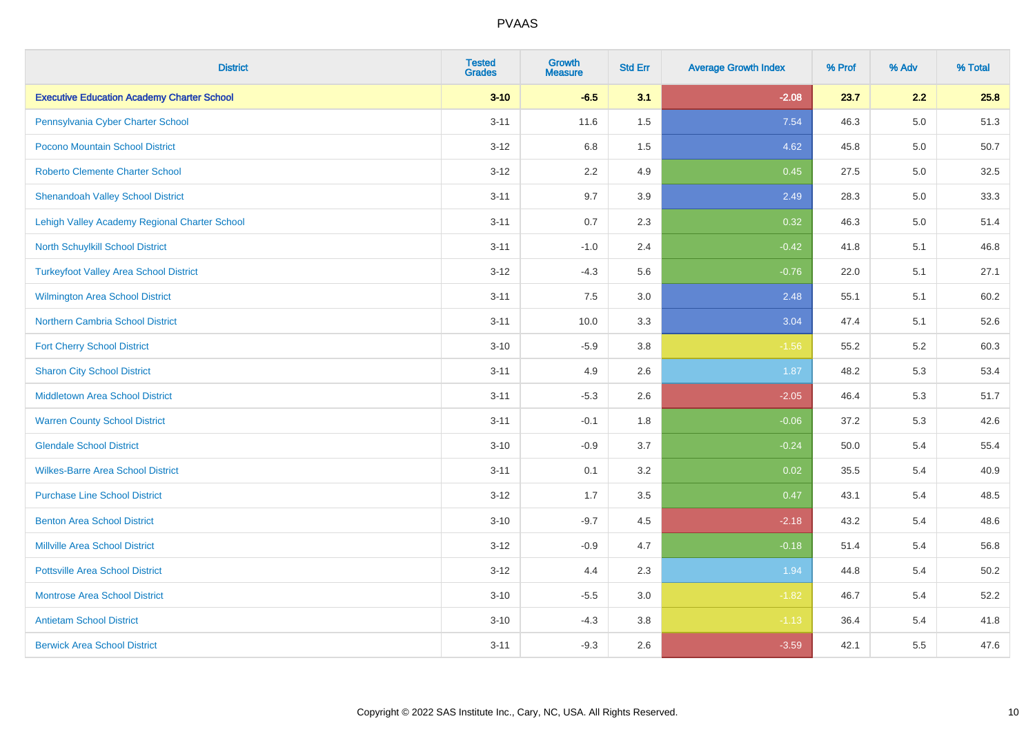| <b>District</b>                                   | <b>Tested</b><br><b>Grades</b> | <b>Growth</b><br><b>Measure</b> | <b>Std Err</b> | <b>Average Growth Index</b> | % Prof | % Adv   | % Total  |
|---------------------------------------------------|--------------------------------|---------------------------------|----------------|-----------------------------|--------|---------|----------|
| <b>Executive Education Academy Charter School</b> | $3 - 10$                       | $-6.5$                          | 3.1            | $-2.08$                     | 23.7   | 2.2     | 25.8     |
| Pennsylvania Cyber Charter School                 | $3 - 11$                       | 11.6                            | $1.5\,$        | 7.54                        | 46.3   | $5.0\,$ | 51.3     |
| Pocono Mountain School District                   | $3 - 12$                       | 6.8                             | 1.5            | 4.62                        | 45.8   | 5.0     | $50.7\,$ |
| <b>Roberto Clemente Charter School</b>            | $3 - 12$                       | 2.2                             | 4.9            | 0.45                        | 27.5   | 5.0     | 32.5     |
| <b>Shenandoah Valley School District</b>          | $3 - 11$                       | 9.7                             | 3.9            | 2.49                        | 28.3   | 5.0     | 33.3     |
| Lehigh Valley Academy Regional Charter School     | $3 - 11$                       | 0.7                             | 2.3            | 0.32                        | 46.3   | 5.0     | 51.4     |
| North Schuylkill School District                  | $3 - 11$                       | $-1.0$                          | 2.4            | $-0.42$                     | 41.8   | 5.1     | 46.8     |
| <b>Turkeyfoot Valley Area School District</b>     | $3 - 12$                       | $-4.3$                          | 5.6            | $-0.76$                     | 22.0   | 5.1     | 27.1     |
| <b>Wilmington Area School District</b>            | $3 - 11$                       | 7.5                             | 3.0            | 2.48                        | 55.1   | 5.1     | 60.2     |
| Northern Cambria School District                  | $3 - 11$                       | 10.0                            | 3.3            | 3.04                        | 47.4   | 5.1     | 52.6     |
| <b>Fort Cherry School District</b>                | $3 - 10$                       | $-5.9$                          | 3.8            | $-1.56$                     | 55.2   | 5.2     | 60.3     |
| <b>Sharon City School District</b>                | $3 - 11$                       | 4.9                             | 2.6            | 1.87                        | 48.2   | 5.3     | 53.4     |
| Middletown Area School District                   | $3 - 11$                       | $-5.3$                          | 2.6            | $-2.05$                     | 46.4   | 5.3     | 51.7     |
| <b>Warren County School District</b>              | $3 - 11$                       | $-0.1$                          | 1.8            | $-0.06$                     | 37.2   | 5.3     | 42.6     |
| <b>Glendale School District</b>                   | $3 - 10$                       | $-0.9$                          | 3.7            | $-0.24$                     | 50.0   | 5.4     | 55.4     |
| <b>Wilkes-Barre Area School District</b>          | $3 - 11$                       | 0.1                             | 3.2            | 0.02                        | 35.5   | 5.4     | 40.9     |
| <b>Purchase Line School District</b>              | $3 - 12$                       | 1.7                             | 3.5            | 0.47                        | 43.1   | 5.4     | 48.5     |
| <b>Benton Area School District</b>                | $3 - 10$                       | $-9.7$                          | 4.5            | $-2.18$                     | 43.2   | 5.4     | 48.6     |
| Millville Area School District                    | $3 - 12$                       | $-0.9$                          | 4.7            | $-0.18$                     | 51.4   | 5.4     | 56.8     |
| <b>Pottsville Area School District</b>            | $3 - 12$                       | 4.4                             | 2.3            | 1.94                        | 44.8   | 5.4     | 50.2     |
| <b>Montrose Area School District</b>              | $3 - 10$                       | $-5.5$                          | 3.0            | $-1.82$                     | 46.7   | 5.4     | 52.2     |
| <b>Antietam School District</b>                   | $3 - 10$                       | $-4.3$                          | 3.8            | $-1.13$                     | 36.4   | 5.4     | 41.8     |
| <b>Berwick Area School District</b>               | $3 - 11$                       | $-9.3$                          | 2.6            | $-3.59$                     | 42.1   | 5.5     | 47.6     |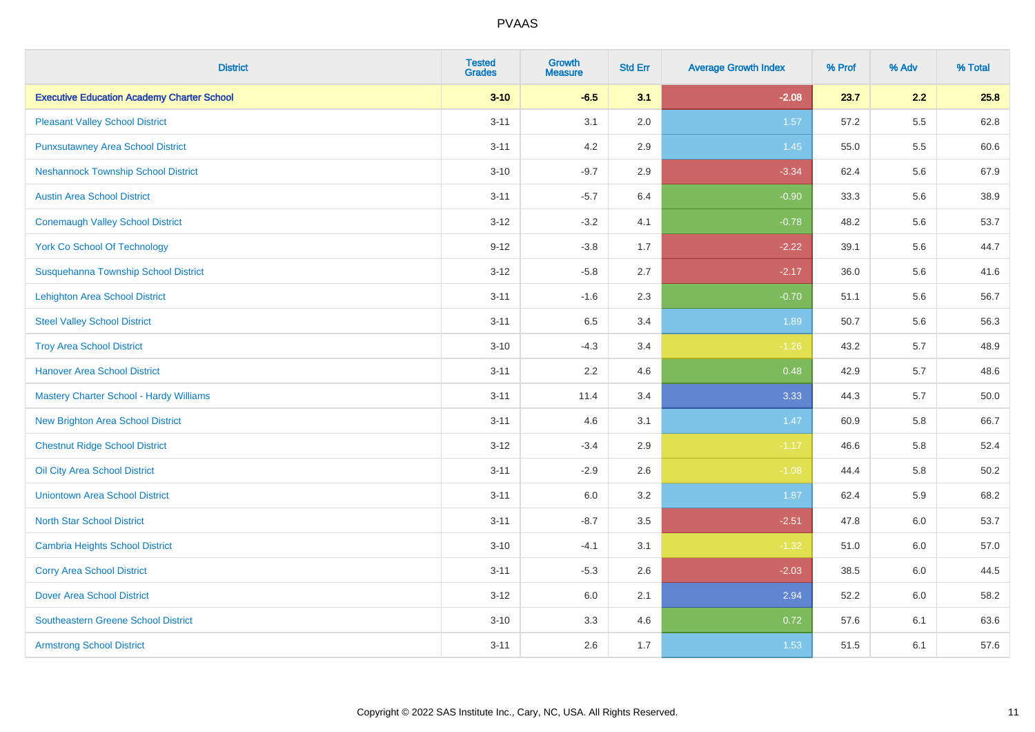| <b>District</b>                                   | <b>Tested</b><br><b>Grades</b> | <b>Growth</b><br><b>Measure</b> | <b>Std Err</b> | <b>Average Growth Index</b> | % Prof | % Adv | % Total  |
|---------------------------------------------------|--------------------------------|---------------------------------|----------------|-----------------------------|--------|-------|----------|
| <b>Executive Education Academy Charter School</b> | $3 - 10$                       | $-6.5$                          | 3.1            | $-2.08$                     | 23.7   | 2.2   | 25.8     |
| <b>Pleasant Valley School District</b>            | $3 - 11$                       | 3.1                             | 2.0            | 1.57                        | 57.2   | 5.5   | 62.8     |
| <b>Punxsutawney Area School District</b>          | $3 - 11$                       | 4.2                             | 2.9            | 1.45                        | 55.0   | 5.5   | 60.6     |
| <b>Neshannock Township School District</b>        | $3 - 10$                       | $-9.7$                          | 2.9            | $-3.34$                     | 62.4   | 5.6   | 67.9     |
| <b>Austin Area School District</b>                | $3 - 11$                       | $-5.7$                          | 6.4            | $-0.90$                     | 33.3   | 5.6   | 38.9     |
| <b>Conemaugh Valley School District</b>           | $3 - 12$                       | $-3.2$                          | 4.1            | $-0.78$                     | 48.2   | 5.6   | 53.7     |
| <b>York Co School Of Technology</b>               | $9 - 12$                       | $-3.8$                          | 1.7            | $-2.22$                     | 39.1   | 5.6   | 44.7     |
| Susquehanna Township School District              | $3 - 12$                       | $-5.8$                          | 2.7            | $-2.17$                     | 36.0   | 5.6   | 41.6     |
| <b>Lehighton Area School District</b>             | $3 - 11$                       | $-1.6$                          | 2.3            | $-0.70$                     | 51.1   | 5.6   | 56.7     |
| <b>Steel Valley School District</b>               | $3 - 11$                       | 6.5                             | 3.4            | 1.89                        | 50.7   | 5.6   | 56.3     |
| <b>Troy Area School District</b>                  | $3 - 10$                       | $-4.3$                          | 3.4            | $-1.26$                     | 43.2   | 5.7   | 48.9     |
| <b>Hanover Area School District</b>               | $3 - 11$                       | 2.2                             | 4.6            | 0.48                        | 42.9   | 5.7   | 48.6     |
| <b>Mastery Charter School - Hardy Williams</b>    | $3 - 11$                       | 11.4                            | 3.4            | 3.33                        | 44.3   | 5.7   | 50.0     |
| <b>New Brighton Area School District</b>          | $3 - 11$                       | 4.6                             | 3.1            | 1.47                        | 60.9   | 5.8   | 66.7     |
| <b>Chestnut Ridge School District</b>             | $3 - 12$                       | $-3.4$                          | 2.9            | $-1.17$                     | 46.6   | 5.8   | 52.4     |
| Oil City Area School District                     | $3 - 11$                       | $-2.9$                          | 2.6            | $-1.08$                     | 44.4   | 5.8   | $50.2\,$ |
| <b>Uniontown Area School District</b>             | $3 - 11$                       | 6.0                             | 3.2            | 1.87                        | 62.4   | 5.9   | 68.2     |
| <b>North Star School District</b>                 | $3 - 11$                       | $-8.7$                          | 3.5            | $-2.51$                     | 47.8   | 6.0   | 53.7     |
| <b>Cambria Heights School District</b>            | $3 - 10$                       | $-4.1$                          | 3.1            | $-1.32$                     | 51.0   | 6.0   | 57.0     |
| <b>Corry Area School District</b>                 | $3 - 11$                       | $-5.3$                          | 2.6            | $-2.03$                     | 38.5   | 6.0   | 44.5     |
| <b>Dover Area School District</b>                 | $3 - 12$                       | 6.0                             | 2.1            | 2.94                        | 52.2   | 6.0   | 58.2     |
| <b>Southeastern Greene School District</b>        | $3 - 10$                       | 3.3                             | 4.6            | 0.72                        | 57.6   | 6.1   | 63.6     |
| <b>Armstrong School District</b>                  | $3 - 11$                       | 2.6                             | 1.7            | 1.53                        | 51.5   | 6.1   | 57.6     |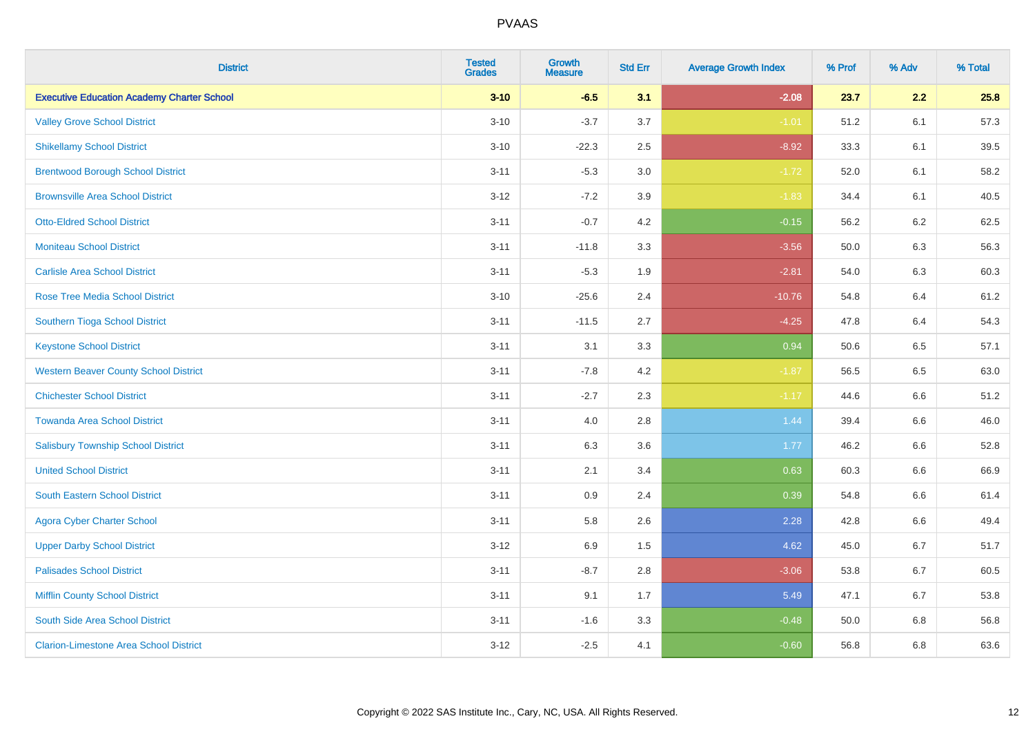| <b>District</b>                                   | <b>Tested</b><br><b>Grades</b> | <b>Growth</b><br><b>Measure</b> | <b>Std Err</b> | <b>Average Growth Index</b> | % Prof | % Adv   | % Total |
|---------------------------------------------------|--------------------------------|---------------------------------|----------------|-----------------------------|--------|---------|---------|
| <b>Executive Education Academy Charter School</b> | $3 - 10$                       | $-6.5$                          | 3.1            | $-2.08$                     | 23.7   | 2.2     | 25.8    |
| <b>Valley Grove School District</b>               | $3 - 10$                       | $-3.7$                          | 3.7            | $-1.01$                     | 51.2   | 6.1     | 57.3    |
| <b>Shikellamy School District</b>                 | $3 - 10$                       | $-22.3$                         | 2.5            | $-8.92$                     | 33.3   | 6.1     | 39.5    |
| <b>Brentwood Borough School District</b>          | $3 - 11$                       | $-5.3$                          | 3.0            | $-1.72$                     | 52.0   | 6.1     | 58.2    |
| <b>Brownsville Area School District</b>           | $3 - 12$                       | $-7.2$                          | 3.9            | $-1.83$                     | 34.4   | 6.1     | 40.5    |
| <b>Otto-Eldred School District</b>                | $3 - 11$                       | $-0.7$                          | 4.2            | $-0.15$                     | 56.2   | 6.2     | 62.5    |
| <b>Moniteau School District</b>                   | $3 - 11$                       | $-11.8$                         | 3.3            | $-3.56$                     | 50.0   | 6.3     | 56.3    |
| <b>Carlisle Area School District</b>              | $3 - 11$                       | $-5.3$                          | 1.9            | $-2.81$                     | 54.0   | 6.3     | 60.3    |
| Rose Tree Media School District                   | $3 - 10$                       | $-25.6$                         | 2.4            | $-10.76$                    | 54.8   | 6.4     | 61.2    |
| Southern Tioga School District                    | $3 - 11$                       | $-11.5$                         | 2.7            | $-4.25$                     | 47.8   | 6.4     | 54.3    |
| <b>Keystone School District</b>                   | $3 - 11$                       | 3.1                             | 3.3            | 0.94                        | 50.6   | 6.5     | 57.1    |
| <b>Western Beaver County School District</b>      | $3 - 11$                       | $-7.8$                          | 4.2            | $-1.87$                     | 56.5   | 6.5     | 63.0    |
| <b>Chichester School District</b>                 | $3 - 11$                       | $-2.7$                          | 2.3            | $-1.17$                     | 44.6   | 6.6     | 51.2    |
| <b>Towanda Area School District</b>               | $3 - 11$                       | 4.0                             | 2.8            | 1.44                        | 39.4   | 6.6     | 46.0    |
| <b>Salisbury Township School District</b>         | $3 - 11$                       | 6.3                             | 3.6            | 1.77                        | 46.2   | 6.6     | 52.8    |
| <b>United School District</b>                     | $3 - 11$                       | 2.1                             | 3.4            | 0.63                        | 60.3   | $6.6\,$ | 66.9    |
| <b>South Eastern School District</b>              | $3 - 11$                       | 0.9                             | 2.4            | 0.39                        | 54.8   | 6.6     | 61.4    |
| <b>Agora Cyber Charter School</b>                 | $3 - 11$                       | 5.8                             | 2.6            | 2.28                        | 42.8   | 6.6     | 49.4    |
| <b>Upper Darby School District</b>                | $3 - 12$                       | 6.9                             | 1.5            | 4.62                        | 45.0   | 6.7     | 51.7    |
| <b>Palisades School District</b>                  | $3 - 11$                       | $-8.7$                          | 2.8            | $-3.06$                     | 53.8   | 6.7     | 60.5    |
| <b>Mifflin County School District</b>             | $3 - 11$                       | 9.1                             | 1.7            | 5.49                        | 47.1   | 6.7     | 53.8    |
| South Side Area School District                   | $3 - 11$                       | $-1.6$                          | 3.3            | $-0.48$                     | 50.0   | 6.8     | 56.8    |
| <b>Clarion-Limestone Area School District</b>     | $3-12$                         | $-2.5$                          | 4.1            | $-0.60$                     | 56.8   | 6.8     | 63.6    |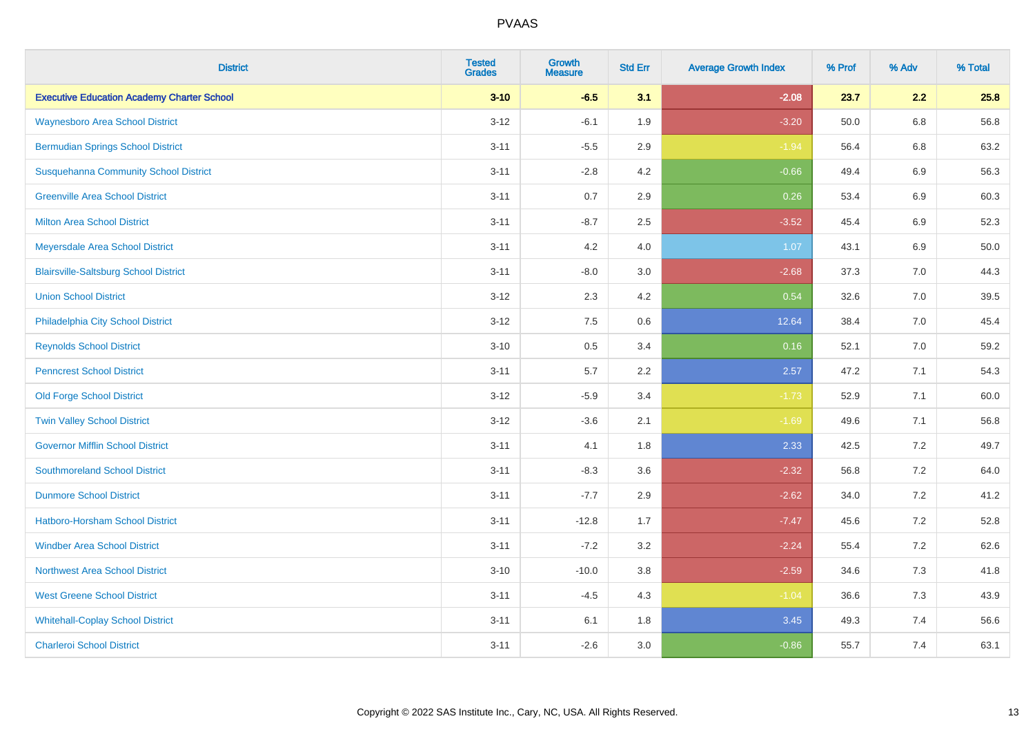| <b>District</b>                                   | <b>Tested</b><br><b>Grades</b> | <b>Growth</b><br><b>Measure</b> | <b>Std Err</b> | <b>Average Growth Index</b> | % Prof | % Adv   | % Total |
|---------------------------------------------------|--------------------------------|---------------------------------|----------------|-----------------------------|--------|---------|---------|
| <b>Executive Education Academy Charter School</b> | $3 - 10$                       | $-6.5$                          | 3.1            | $-2.08$                     | 23.7   | 2.2     | 25.8    |
| <b>Waynesboro Area School District</b>            | $3 - 12$                       | $-6.1$                          | 1.9            | $-3.20$                     | 50.0   | $6.8\,$ | 56.8    |
| <b>Bermudian Springs School District</b>          | $3 - 11$                       | $-5.5$                          | 2.9            | $-1.94$                     | 56.4   | 6.8     | 63.2    |
| <b>Susquehanna Community School District</b>      | $3 - 11$                       | $-2.8$                          | 4.2            | $-0.66$                     | 49.4   | $6.9\,$ | 56.3    |
| <b>Greenville Area School District</b>            | $3 - 11$                       | 0.7                             | 2.9            | 0.26                        | 53.4   | 6.9     | 60.3    |
| <b>Milton Area School District</b>                | $3 - 11$                       | $-8.7$                          | 2.5            | $-3.52$                     | 45.4   | $6.9\,$ | 52.3    |
| Meyersdale Area School District                   | $3 - 11$                       | 4.2                             | 4.0            | 1.07                        | 43.1   | 6.9     | 50.0    |
| <b>Blairsville-Saltsburg School District</b>      | $3 - 11$                       | $-8.0$                          | 3.0            | $-2.68$                     | 37.3   | 7.0     | 44.3    |
| <b>Union School District</b>                      | $3 - 12$                       | 2.3                             | 4.2            | 0.54                        | 32.6   | 7.0     | 39.5    |
| Philadelphia City School District                 | $3 - 12$                       | 7.5                             | 0.6            | 12.64                       | 38.4   | 7.0     | 45.4    |
| <b>Reynolds School District</b>                   | $3 - 10$                       | 0.5                             | 3.4            | 0.16                        | 52.1   | 7.0     | 59.2    |
| <b>Penncrest School District</b>                  | $3 - 11$                       | 5.7                             | 2.2            | 2.57                        | 47.2   | 7.1     | 54.3    |
| <b>Old Forge School District</b>                  | $3-12$                         | $-5.9$                          | 3.4            | $-1.73$                     | 52.9   | 7.1     | 60.0    |
| <b>Twin Valley School District</b>                | $3 - 12$                       | $-3.6$                          | 2.1            | $-1.69$                     | 49.6   | 7.1     | 56.8    |
| <b>Governor Mifflin School District</b>           | $3 - 11$                       | 4.1                             | 1.8            | 2.33                        | 42.5   | 7.2     | 49.7    |
| <b>Southmoreland School District</b>              | $3 - 11$                       | $-8.3$                          | 3.6            | $-2.32$                     | 56.8   | 7.2     | 64.0    |
| <b>Dunmore School District</b>                    | $3 - 11$                       | $-7.7$                          | 2.9            | $-2.62$                     | 34.0   | 7.2     | 41.2    |
| <b>Hatboro-Horsham School District</b>            | $3 - 11$                       | $-12.8$                         | 1.7            | $-7.47$                     | 45.6   | 7.2     | 52.8    |
| <b>Windber Area School District</b>               | $3 - 11$                       | $-7.2$                          | 3.2            | $-2.24$                     | 55.4   | 7.2     | 62.6    |
| <b>Northwest Area School District</b>             | $3 - 10$                       | $-10.0$                         | 3.8            | $-2.59$                     | 34.6   | 7.3     | 41.8    |
| <b>West Greene School District</b>                | $3 - 11$                       | $-4.5$                          | 4.3            | $-1.04$                     | 36.6   | 7.3     | 43.9    |
| <b>Whitehall-Coplay School District</b>           | $3 - 11$                       | 6.1                             | 1.8            | 3.45                        | 49.3   | 7.4     | 56.6    |
| <b>Charleroi School District</b>                  | $3 - 11$                       | $-2.6$                          | 3.0            | $-0.86$                     | 55.7   | 7.4     | 63.1    |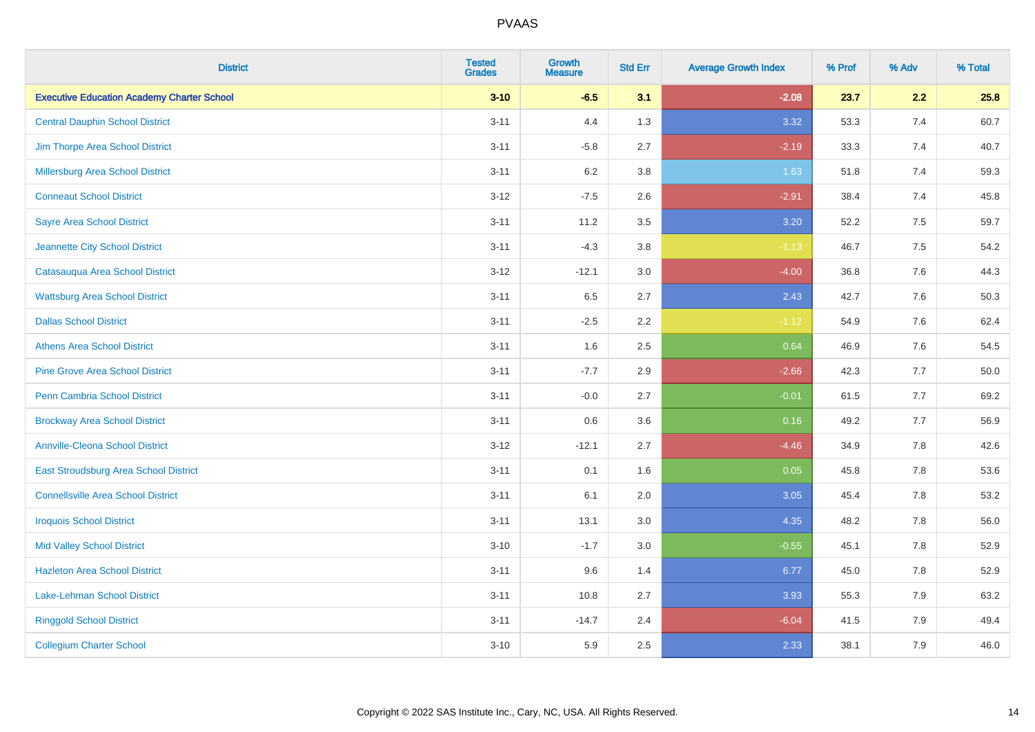| <b>District</b>                                   | <b>Tested</b><br><b>Grades</b> | <b>Growth</b><br><b>Measure</b> | <b>Std Err</b> | <b>Average Growth Index</b> | % Prof | % Adv   | % Total |
|---------------------------------------------------|--------------------------------|---------------------------------|----------------|-----------------------------|--------|---------|---------|
| <b>Executive Education Academy Charter School</b> | $3 - 10$                       | $-6.5$                          | 3.1            | $-2.08$                     | 23.7   | 2.2     | 25.8    |
| <b>Central Dauphin School District</b>            | $3 - 11$                       | 4.4                             | 1.3            | 3.32                        | 53.3   | 7.4     | 60.7    |
| Jim Thorpe Area School District                   | $3 - 11$                       | $-5.8$                          | 2.7            | $-2.19$                     | 33.3   | 7.4     | 40.7    |
| <b>Millersburg Area School District</b>           | $3 - 11$                       | $6.2\,$                         | 3.8            | 1.63                        | 51.8   | 7.4     | 59.3    |
| <b>Conneaut School District</b>                   | $3 - 12$                       | $-7.5$                          | 2.6            | $-2.91$                     | 38.4   | 7.4     | 45.8    |
| <b>Sayre Area School District</b>                 | $3 - 11$                       | 11.2                            | 3.5            | 3.20                        | 52.2   | 7.5     | 59.7    |
| Jeannette City School District                    | $3 - 11$                       | $-4.3$                          | 3.8            | $-1.13$                     | 46.7   | 7.5     | 54.2    |
| Catasauqua Area School District                   | $3 - 12$                       | $-12.1$                         | 3.0            | $-4.00$                     | 36.8   | 7.6     | 44.3    |
| <b>Wattsburg Area School District</b>             | $3 - 11$                       | 6.5                             | 2.7            | 2.43                        | 42.7   | 7.6     | 50.3    |
| <b>Dallas School District</b>                     | $3 - 11$                       | $-2.5$                          | 2.2            | $-1.12$                     | 54.9   | 7.6     | 62.4    |
| <b>Athens Area School District</b>                | $3 - 11$                       | 1.6                             | 2.5            | 0.64                        | 46.9   | 7.6     | 54.5    |
| <b>Pine Grove Area School District</b>            | $3 - 11$                       | $-7.7$                          | 2.9            | $-2.66$                     | 42.3   | 7.7     | 50.0    |
| Penn Cambria School District                      | $3 - 11$                       | $-0.0$                          | 2.7            | $-0.01$                     | 61.5   | 7.7     | 69.2    |
| <b>Brockway Area School District</b>              | $3 - 11$                       | 0.6                             | 3.6            | 0.16                        | 49.2   | 7.7     | 56.9    |
| <b>Annville-Cleona School District</b>            | $3 - 12$                       | $-12.1$                         | 2.7            | $-4.46$                     | 34.9   | 7.8     | 42.6    |
| East Stroudsburg Area School District             | $3 - 11$                       | 0.1                             | 1.6            | 0.05                        | 45.8   | $7.8\,$ | 53.6    |
| <b>Connellsville Area School District</b>         | $3 - 11$                       | 6.1                             | 2.0            | 3.05                        | 45.4   | 7.8     | 53.2    |
| <b>Iroquois School District</b>                   | $3 - 11$                       | 13.1                            | 3.0            | 4.35                        | 48.2   | 7.8     | 56.0    |
| <b>Mid Valley School District</b>                 | $3 - 10$                       | $-1.7$                          | 3.0            | $-0.55$                     | 45.1   | 7.8     | 52.9    |
| <b>Hazleton Area School District</b>              | $3 - 11$                       | 9.6                             | 1.4            | 6.77                        | 45.0   | 7.8     | 52.9    |
| Lake-Lehman School District                       | $3 - 11$                       | 10.8                            | 2.7            | 3.93                        | 55.3   | 7.9     | 63.2    |
| <b>Ringgold School District</b>                   | $3 - 11$                       | $-14.7$                         | 2.4            | $-6.04$                     | 41.5   | 7.9     | 49.4    |
| <b>Collegium Charter School</b>                   | $3 - 10$                       | 5.9                             | 2.5            | 2.33                        | 38.1   | 7.9     | 46.0    |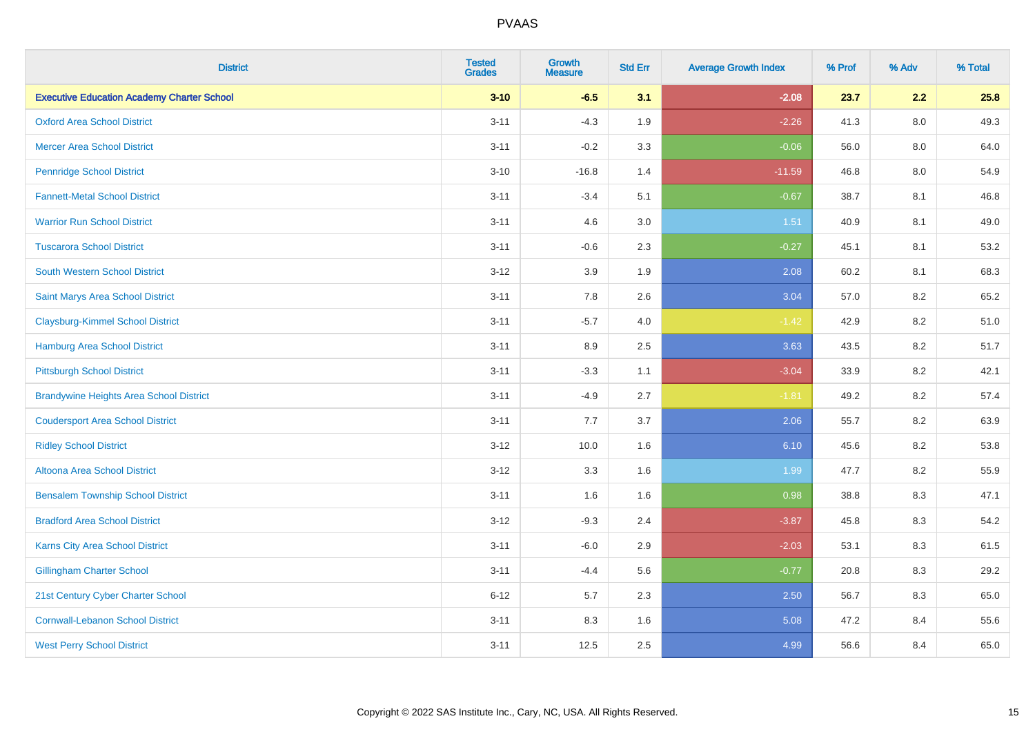| <b>District</b>                                   | <b>Tested</b><br><b>Grades</b> | <b>Growth</b><br><b>Measure</b> | <b>Std Err</b> | <b>Average Growth Index</b> | % Prof | % Adv | % Total |
|---------------------------------------------------|--------------------------------|---------------------------------|----------------|-----------------------------|--------|-------|---------|
| <b>Executive Education Academy Charter School</b> | $3 - 10$                       | $-6.5$                          | 3.1            | $-2.08$                     | 23.7   | 2.2   | 25.8    |
| <b>Oxford Area School District</b>                | $3 - 11$                       | $-4.3$                          | 1.9            | $-2.26$                     | 41.3   | 8.0   | 49.3    |
| <b>Mercer Area School District</b>                | $3 - 11$                       | $-0.2$                          | 3.3            | $-0.06$                     | 56.0   | 8.0   | 64.0    |
| <b>Pennridge School District</b>                  | $3 - 10$                       | $-16.8$                         | 1.4            | $-11.59$                    | 46.8   | 8.0   | 54.9    |
| <b>Fannett-Metal School District</b>              | $3 - 11$                       | $-3.4$                          | 5.1            | $-0.67$                     | 38.7   | 8.1   | 46.8    |
| <b>Warrior Run School District</b>                | $3 - 11$                       | 4.6                             | 3.0            | 1.51                        | 40.9   | 8.1   | 49.0    |
| <b>Tuscarora School District</b>                  | $3 - 11$                       | $-0.6$                          | 2.3            | $-0.27$                     | 45.1   | 8.1   | 53.2    |
| <b>South Western School District</b>              | $3 - 12$                       | 3.9                             | 1.9            | 2.08                        | 60.2   | 8.1   | 68.3    |
| Saint Marys Area School District                  | $3 - 11$                       | 7.8                             | 2.6            | 3.04                        | 57.0   | 8.2   | 65.2    |
| <b>Claysburg-Kimmel School District</b>           | $3 - 11$                       | $-5.7$                          | 4.0            | $-1.42$                     | 42.9   | 8.2   | 51.0    |
| <b>Hamburg Area School District</b>               | $3 - 11$                       | 8.9                             | 2.5            | 3.63                        | 43.5   | 8.2   | 51.7    |
| <b>Pittsburgh School District</b>                 | $3 - 11$                       | $-3.3$                          | 1.1            | $-3.04$                     | 33.9   | 8.2   | 42.1    |
| <b>Brandywine Heights Area School District</b>    | $3 - 11$                       | $-4.9$                          | 2.7            | $-1.81$                     | 49.2   | 8.2   | 57.4    |
| <b>Coudersport Area School District</b>           | $3 - 11$                       | 7.7                             | 3.7            | 2.06                        | 55.7   | 8.2   | 63.9    |
| <b>Ridley School District</b>                     | $3-12$                         | 10.0                            | 1.6            | 6.10                        | 45.6   | 8.2   | 53.8    |
| Altoona Area School District                      | $3 - 12$                       | 3.3                             | 1.6            | 1.99                        | 47.7   | 8.2   | 55.9    |
| <b>Bensalem Township School District</b>          | $3 - 11$                       | 1.6                             | 1.6            | 0.98                        | 38.8   | 8.3   | 47.1    |
| <b>Bradford Area School District</b>              | $3 - 12$                       | $-9.3$                          | 2.4            | $-3.87$                     | 45.8   | 8.3   | 54.2    |
| Karns City Area School District                   | $3 - 11$                       | $-6.0$                          | 2.9            | $-2.03$                     | 53.1   | 8.3   | 61.5    |
| <b>Gillingham Charter School</b>                  | $3 - 11$                       | $-4.4$                          | 5.6            | $-0.77$                     | 20.8   | 8.3   | 29.2    |
| 21st Century Cyber Charter School                 | $6 - 12$                       | 5.7                             | 2.3            | 2.50                        | 56.7   | 8.3   | 65.0    |
| <b>Cornwall-Lebanon School District</b>           | $3 - 11$                       | 8.3                             | 1.6            | 5.08                        | 47.2   | 8.4   | 55.6    |
| <b>West Perry School District</b>                 | $3 - 11$                       | 12.5                            | 2.5            | 4.99                        | 56.6   | 8.4   | 65.0    |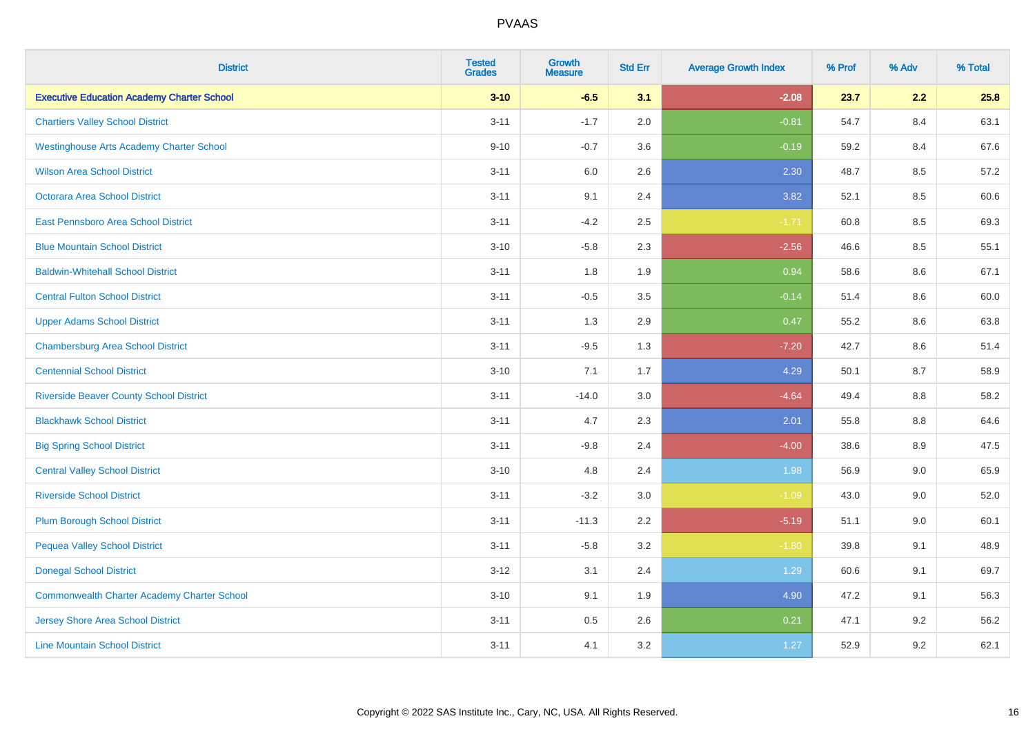| <b>District</b>                                    | <b>Tested</b><br><b>Grades</b> | <b>Growth</b><br><b>Measure</b> | <b>Std Err</b> | <b>Average Growth Index</b> | % Prof | % Adv   | % Total |
|----------------------------------------------------|--------------------------------|---------------------------------|----------------|-----------------------------|--------|---------|---------|
| <b>Executive Education Academy Charter School</b>  | $3 - 10$                       | $-6.5$                          | 3.1            | $-2.08$                     | 23.7   | 2.2     | 25.8    |
| <b>Chartiers Valley School District</b>            | $3 - 11$                       | $-1.7$                          | 2.0            | $-0.81$                     | 54.7   | 8.4     | 63.1    |
| <b>Westinghouse Arts Academy Charter School</b>    | $9 - 10$                       | $-0.7$                          | 3.6            | $-0.19$                     | 59.2   | 8.4     | 67.6    |
| <b>Wilson Area School District</b>                 | $3 - 11$                       | 6.0                             | 2.6            | 2.30                        | 48.7   | 8.5     | 57.2    |
| Octorara Area School District                      | $3 - 11$                       | 9.1                             | 2.4            | 3.82                        | 52.1   | 8.5     | 60.6    |
| East Pennsboro Area School District                | $3 - 11$                       | $-4.2$                          | 2.5            | $-1.71$                     | 60.8   | 8.5     | 69.3    |
| <b>Blue Mountain School District</b>               | $3 - 10$                       | $-5.8$                          | 2.3            | $-2.56$                     | 46.6   | 8.5     | 55.1    |
| <b>Baldwin-Whitehall School District</b>           | $3 - 11$                       | 1.8                             | 1.9            | 0.94                        | 58.6   | 8.6     | 67.1    |
| <b>Central Fulton School District</b>              | $3 - 11$                       | $-0.5$                          | 3.5            | $-0.14$                     | 51.4   | 8.6     | 60.0    |
| <b>Upper Adams School District</b>                 | $3 - 11$                       | 1.3                             | 2.9            | 0.47                        | 55.2   | 8.6     | 63.8    |
| <b>Chambersburg Area School District</b>           | $3 - 11$                       | $-9.5$                          | 1.3            | $-7.20$                     | 42.7   | 8.6     | 51.4    |
| <b>Centennial School District</b>                  | $3 - 10$                       | 7.1                             | 1.7            | 4.29                        | 50.1   | 8.7     | 58.9    |
| <b>Riverside Beaver County School District</b>     | $3 - 11$                       | $-14.0$                         | 3.0            | $-4.64$                     | 49.4   | $8.8\,$ | 58.2    |
| <b>Blackhawk School District</b>                   | $3 - 11$                       | 4.7                             | 2.3            | 2.01                        | 55.8   | 8.8     | 64.6    |
| <b>Big Spring School District</b>                  | $3 - 11$                       | $-9.8$                          | 2.4            | $-4.00$                     | 38.6   | 8.9     | 47.5    |
| <b>Central Valley School District</b>              | $3 - 10$                       | 4.8                             | 2.4            | 1.98                        | 56.9   | 9.0     | 65.9    |
| <b>Riverside School District</b>                   | $3 - 11$                       | $-3.2$                          | 3.0            | $-1.09$                     | 43.0   | 9.0     | 52.0    |
| <b>Plum Borough School District</b>                | $3 - 11$                       | $-11.3$                         | 2.2            | $-5.19$                     | 51.1   | 9.0     | 60.1    |
| <b>Pequea Valley School District</b>               | $3 - 11$                       | $-5.8$                          | 3.2            | $-1.80$                     | 39.8   | 9.1     | 48.9    |
| <b>Donegal School District</b>                     | $3 - 12$                       | 3.1                             | 2.4            | 1.29                        | 60.6   | 9.1     | 69.7    |
| <b>Commonwealth Charter Academy Charter School</b> | $3 - 10$                       | 9.1                             | 1.9            | 4.90                        | 47.2   | 9.1     | 56.3    |
| Jersey Shore Area School District                  | $3 - 11$                       | 0.5                             | 2.6            | 0.21                        | 47.1   | 9.2     | 56.2    |
| <b>Line Mountain School District</b>               | $3 - 11$                       | 4.1                             | 3.2            | 1.27                        | 52.9   | 9.2     | 62.1    |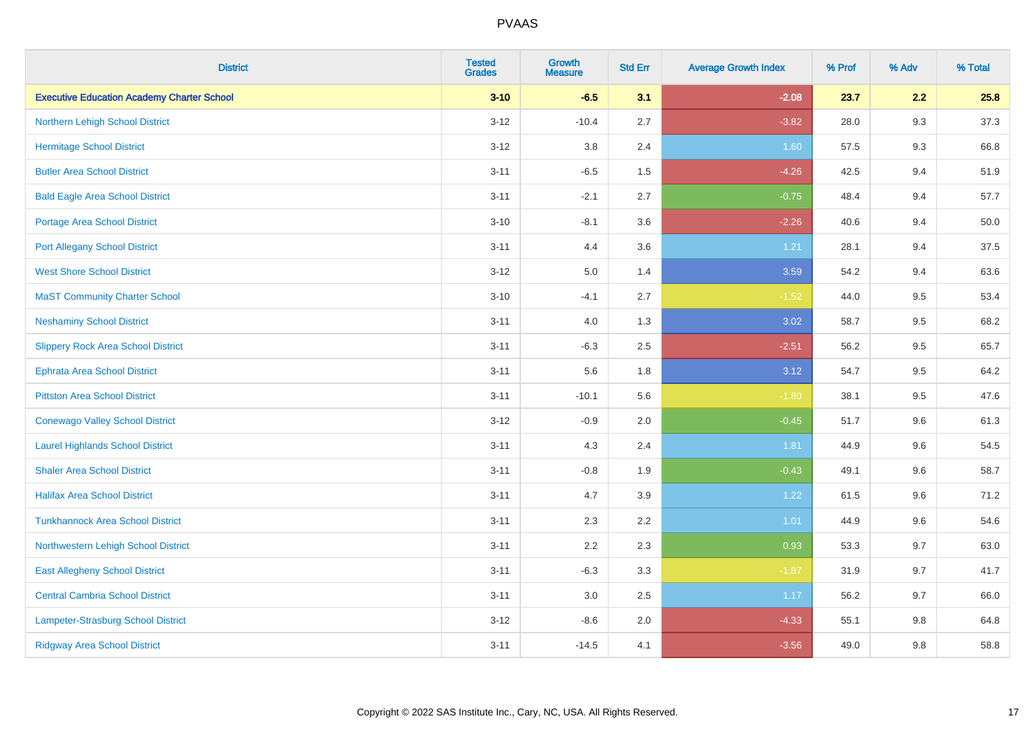| <b>District</b>                                   | <b>Tested</b><br><b>Grades</b> | <b>Growth</b><br><b>Measure</b> | <b>Std Err</b> | <b>Average Growth Index</b> | % Prof | % Adv | % Total |
|---------------------------------------------------|--------------------------------|---------------------------------|----------------|-----------------------------|--------|-------|---------|
| <b>Executive Education Academy Charter School</b> | $3 - 10$                       | $-6.5$                          | 3.1            | $-2.08$                     | 23.7   | 2.2   | 25.8    |
| Northern Lehigh School District                   | $3 - 12$                       | $-10.4$                         | 2.7            | $-3.82$                     | 28.0   | 9.3   | 37.3    |
| <b>Hermitage School District</b>                  | $3 - 12$                       | 3.8                             | 2.4            | 1.60                        | 57.5   | 9.3   | 66.8    |
| <b>Butler Area School District</b>                | $3 - 11$                       | $-6.5$                          | 1.5            | $-4.26$                     | 42.5   | 9.4   | 51.9    |
| <b>Bald Eagle Area School District</b>            | $3 - 11$                       | $-2.1$                          | 2.7            | $-0.75$                     | 48.4   | 9.4   | 57.7    |
| Portage Area School District                      | $3 - 10$                       | $-8.1$                          | 3.6            | $-2.26$                     | 40.6   | 9.4   | 50.0    |
| <b>Port Allegany School District</b>              | $3 - 11$                       | 4.4                             | 3.6            | 1.21                        | 28.1   | 9.4   | 37.5    |
| <b>West Shore School District</b>                 | $3 - 12$                       | 5.0                             | 1.4            | 3.59                        | 54.2   | 9.4   | 63.6    |
| <b>MaST Community Charter School</b>              | $3 - 10$                       | $-4.1$                          | 2.7            | $-1.52$                     | 44.0   | 9.5   | 53.4    |
| <b>Neshaminy School District</b>                  | $3 - 11$                       | 4.0                             | 1.3            | 3.02                        | 58.7   | 9.5   | 68.2    |
| <b>Slippery Rock Area School District</b>         | $3 - 11$                       | $-6.3$                          | 2.5            | $-2.51$                     | 56.2   | 9.5   | 65.7    |
| <b>Ephrata Area School District</b>               | $3 - 11$                       | 5.6                             | 1.8            | 3.12                        | 54.7   | 9.5   | 64.2    |
| <b>Pittston Area School District</b>              | $3 - 11$                       | $-10.1$                         | 5.6            | $-1.80$                     | 38.1   | 9.5   | 47.6    |
| <b>Conewago Valley School District</b>            | $3 - 12$                       | $-0.9$                          | 2.0            | $-0.45$                     | 51.7   | 9.6   | 61.3    |
| <b>Laurel Highlands School District</b>           | $3 - 11$                       | 4.3                             | 2.4            | 1.81                        | 44.9   | 9.6   | 54.5    |
| <b>Shaler Area School District</b>                | $3 - 11$                       | $-0.8$                          | 1.9            | $-0.43$                     | 49.1   | 9.6   | 58.7    |
| <b>Halifax Area School District</b>               | $3 - 11$                       | 4.7                             | 3.9            | 1.22                        | 61.5   | 9.6   | 71.2    |
| <b>Tunkhannock Area School District</b>           | $3 - 11$                       | 2.3                             | 2.2            | 1.01                        | 44.9   | 9.6   | 54.6    |
| Northwestern Lehigh School District               | $3 - 11$                       | 2.2                             | 2.3            | 0.93                        | 53.3   | 9.7   | 63.0    |
| <b>East Allegheny School District</b>             | $3 - 11$                       | $-6.3$                          | 3.3            | $-1.87$                     | 31.9   | 9.7   | 41.7    |
| <b>Central Cambria School District</b>            | $3 - 11$                       | 3.0                             | $2.5\,$        | 1.17                        | 56.2   | 9.7   | 66.0    |
| Lampeter-Strasburg School District                | $3 - 12$                       | $-8.6$                          | 2.0            | $-4.33$                     | 55.1   | 9.8   | 64.8    |
| <b>Ridgway Area School District</b>               | $3 - 11$                       | $-14.5$                         | 4.1            | $-3.56$                     | 49.0   | 9.8   | 58.8    |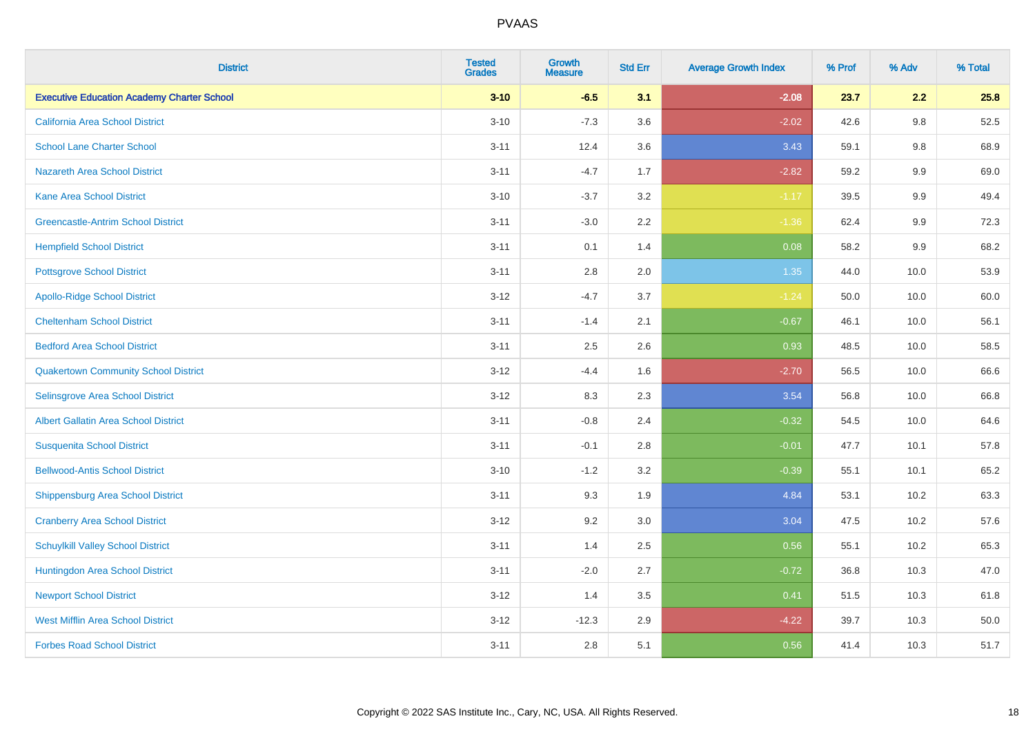| <b>District</b>                                   | <b>Tested</b><br><b>Grades</b> | <b>Growth</b><br><b>Measure</b> | <b>Std Err</b> | <b>Average Growth Index</b> | % Prof | % Adv   | % Total |
|---------------------------------------------------|--------------------------------|---------------------------------|----------------|-----------------------------|--------|---------|---------|
| <b>Executive Education Academy Charter School</b> | $3 - 10$                       | $-6.5$                          | 3.1            | $-2.08$                     | 23.7   | 2.2     | 25.8    |
| <b>California Area School District</b>            | $3 - 10$                       | $-7.3$                          | 3.6            | $-2.02$                     | 42.6   | $9.8\,$ | 52.5    |
| <b>School Lane Charter School</b>                 | $3 - 11$                       | 12.4                            | 3.6            | 3.43                        | 59.1   | 9.8     | 68.9    |
| <b>Nazareth Area School District</b>              | $3 - 11$                       | $-4.7$                          | 1.7            | $-2.82$                     | 59.2   | $9.9\,$ | 69.0    |
| <b>Kane Area School District</b>                  | $3 - 10$                       | $-3.7$                          | 3.2            | $-1.17$                     | 39.5   | 9.9     | 49.4    |
| <b>Greencastle-Antrim School District</b>         | $3 - 11$                       | $-3.0$                          | 2.2            | $-1.36$                     | 62.4   | $9.9\,$ | 72.3    |
| <b>Hempfield School District</b>                  | $3 - 11$                       | 0.1                             | 1.4            | 0.08                        | 58.2   | 9.9     | 68.2    |
| <b>Pottsgrove School District</b>                 | $3 - 11$                       | 2.8                             | 2.0            | 1.35                        | 44.0   | 10.0    | 53.9    |
| <b>Apollo-Ridge School District</b>               | $3 - 12$                       | $-4.7$                          | 3.7            | $-1.24$                     | 50.0   | 10.0    | 60.0    |
| <b>Cheltenham School District</b>                 | $3 - 11$                       | $-1.4$                          | 2.1            | $-0.67$                     | 46.1   | 10.0    | 56.1    |
| <b>Bedford Area School District</b>               | $3 - 11$                       | 2.5                             | 2.6            | 0.93                        | 48.5   | 10.0    | 58.5    |
| <b>Quakertown Community School District</b>       | $3 - 12$                       | $-4.4$                          | 1.6            | $-2.70$                     | 56.5   | 10.0    | 66.6    |
| Selinsgrove Area School District                  | $3-12$                         | 8.3                             | 2.3            | 3.54                        | 56.8   | 10.0    | 66.8    |
| <b>Albert Gallatin Area School District</b>       | $3 - 11$                       | $-0.8$                          | 2.4            | $-0.32$                     | 54.5   | 10.0    | 64.6    |
| <b>Susquenita School District</b>                 | $3 - 11$                       | $-0.1$                          | 2.8            | $-0.01$                     | 47.7   | 10.1    | 57.8    |
| <b>Bellwood-Antis School District</b>             | $3 - 10$                       | $-1.2$                          | 3.2            | $-0.39$                     | 55.1   | 10.1    | 65.2    |
| <b>Shippensburg Area School District</b>          | $3 - 11$                       | 9.3                             | 1.9            | 4.84                        | 53.1   | 10.2    | 63.3    |
| <b>Cranberry Area School District</b>             | $3-12$                         | 9.2                             | 3.0            | 3.04                        | 47.5   | 10.2    | 57.6    |
| <b>Schuylkill Valley School District</b>          | $3 - 11$                       | 1.4                             | 2.5            | 0.56                        | 55.1   | 10.2    | 65.3    |
| Huntingdon Area School District                   | $3 - 11$                       | $-2.0$                          | 2.7            | $-0.72$                     | 36.8   | 10.3    | 47.0    |
| <b>Newport School District</b>                    | $3 - 12$                       | 1.4                             | 3.5            | 0.41                        | 51.5   | 10.3    | 61.8    |
| <b>West Mifflin Area School District</b>          | $3-12$                         | $-12.3$                         | 2.9            | $-4.22$                     | 39.7   | 10.3    | 50.0    |
| <b>Forbes Road School District</b>                | $3 - 11$                       | 2.8                             | 5.1            | 0.56                        | 41.4   | 10.3    | 51.7    |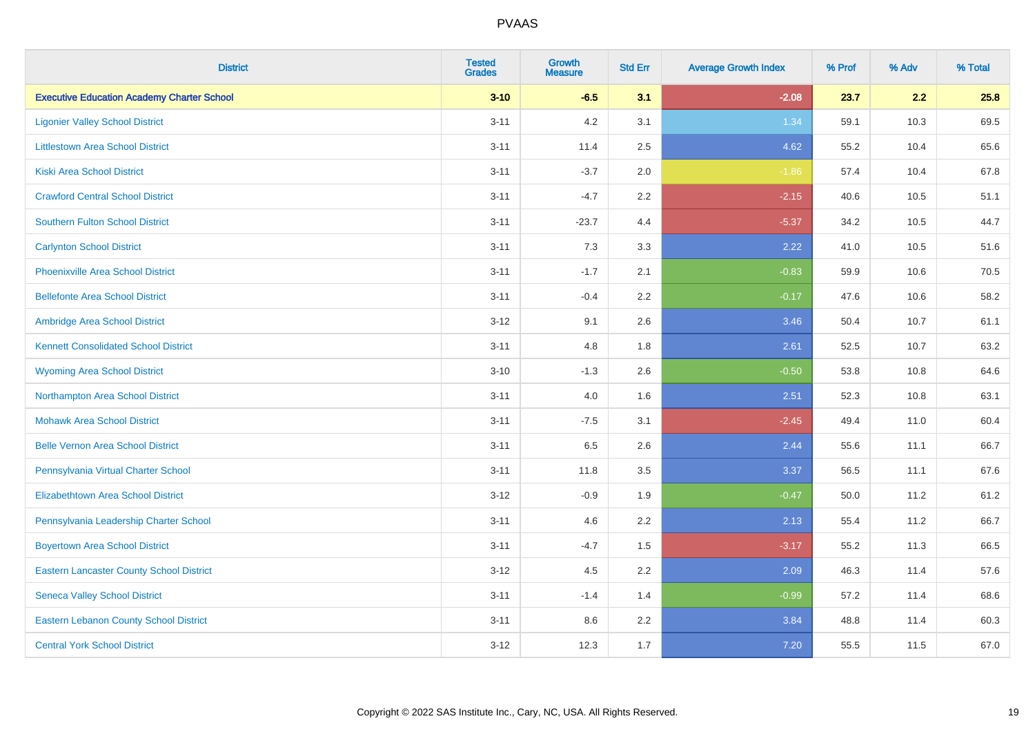| <b>District</b>                                   | <b>Tested</b><br><b>Grades</b> | <b>Growth</b><br><b>Measure</b> | <b>Std Err</b> | <b>Average Growth Index</b> | % Prof | % Adv | % Total |
|---------------------------------------------------|--------------------------------|---------------------------------|----------------|-----------------------------|--------|-------|---------|
| <b>Executive Education Academy Charter School</b> | $3 - 10$                       | $-6.5$                          | 3.1            | $-2.08$                     | 23.7   | 2.2   | 25.8    |
| <b>Ligonier Valley School District</b>            | $3 - 11$                       | 4.2                             | 3.1            | 1.34                        | 59.1   | 10.3  | 69.5    |
| <b>Littlestown Area School District</b>           | $3 - 11$                       | 11.4                            | 2.5            | 4.62                        | 55.2   | 10.4  | 65.6    |
| <b>Kiski Area School District</b>                 | $3 - 11$                       | $-3.7$                          | 2.0            | $-1.86$                     | 57.4   | 10.4  | 67.8    |
| <b>Crawford Central School District</b>           | $3 - 11$                       | $-4.7$                          | 2.2            | $-2.15$                     | 40.6   | 10.5  | 51.1    |
| <b>Southern Fulton School District</b>            | $3 - 11$                       | $-23.7$                         | 4.4            | $-5.37$                     | 34.2   | 10.5  | 44.7    |
| <b>Carlynton School District</b>                  | $3 - 11$                       | 7.3                             | 3.3            | 2.22                        | 41.0   | 10.5  | 51.6    |
| <b>Phoenixville Area School District</b>          | $3 - 11$                       | $-1.7$                          | 2.1            | $-0.83$                     | 59.9   | 10.6  | 70.5    |
| <b>Bellefonte Area School District</b>            | $3 - 11$                       | $-0.4$                          | 2.2            | $-0.17$                     | 47.6   | 10.6  | 58.2    |
| Ambridge Area School District                     | $3-12$                         | 9.1                             | 2.6            | 3.46                        | 50.4   | 10.7  | 61.1    |
| <b>Kennett Consolidated School District</b>       | $3 - 11$                       | 4.8                             | 1.8            | 2.61                        | 52.5   | 10.7  | 63.2    |
| <b>Wyoming Area School District</b>               | $3 - 10$                       | $-1.3$                          | 2.6            | $-0.50$                     | 53.8   | 10.8  | 64.6    |
| Northampton Area School District                  | $3 - 11$                       | 4.0                             | 1.6            | 2.51                        | 52.3   | 10.8  | 63.1    |
| <b>Mohawk Area School District</b>                | $3 - 11$                       | $-7.5$                          | 3.1            | $-2.45$                     | 49.4   | 11.0  | 60.4    |
| <b>Belle Vernon Area School District</b>          | $3 - 11$                       | 6.5                             | 2.6            | 2.44                        | 55.6   | 11.1  | 66.7    |
| Pennsylvania Virtual Charter School               | $3 - 11$                       | 11.8                            | 3.5            | 3.37                        | 56.5   | 11.1  | 67.6    |
| <b>Elizabethtown Area School District</b>         | $3 - 12$                       | $-0.9$                          | 1.9            | $-0.47$                     | 50.0   | 11.2  | 61.2    |
| Pennsylvania Leadership Charter School            | $3 - 11$                       | 4.6                             | 2.2            | 2.13                        | 55.4   | 11.2  | 66.7    |
| <b>Boyertown Area School District</b>             | $3 - 11$                       | $-4.7$                          | 1.5            | $-3.17$                     | 55.2   | 11.3  | 66.5    |
| <b>Eastern Lancaster County School District</b>   | $3 - 12$                       | 4.5                             | 2.2            | 2.09                        | 46.3   | 11.4  | 57.6    |
| <b>Seneca Valley School District</b>              | $3 - 11$                       | $-1.4$                          | 1.4            | $-0.99$                     | 57.2   | 11.4  | 68.6    |
| <b>Eastern Lebanon County School District</b>     | $3 - 11$                       | $8.6\,$                         | 2.2            | 3.84                        | 48.8   | 11.4  | 60.3    |
| <b>Central York School District</b>               | $3-12$                         | 12.3                            | 1.7            | 7.20                        | 55.5   | 11.5  | 67.0    |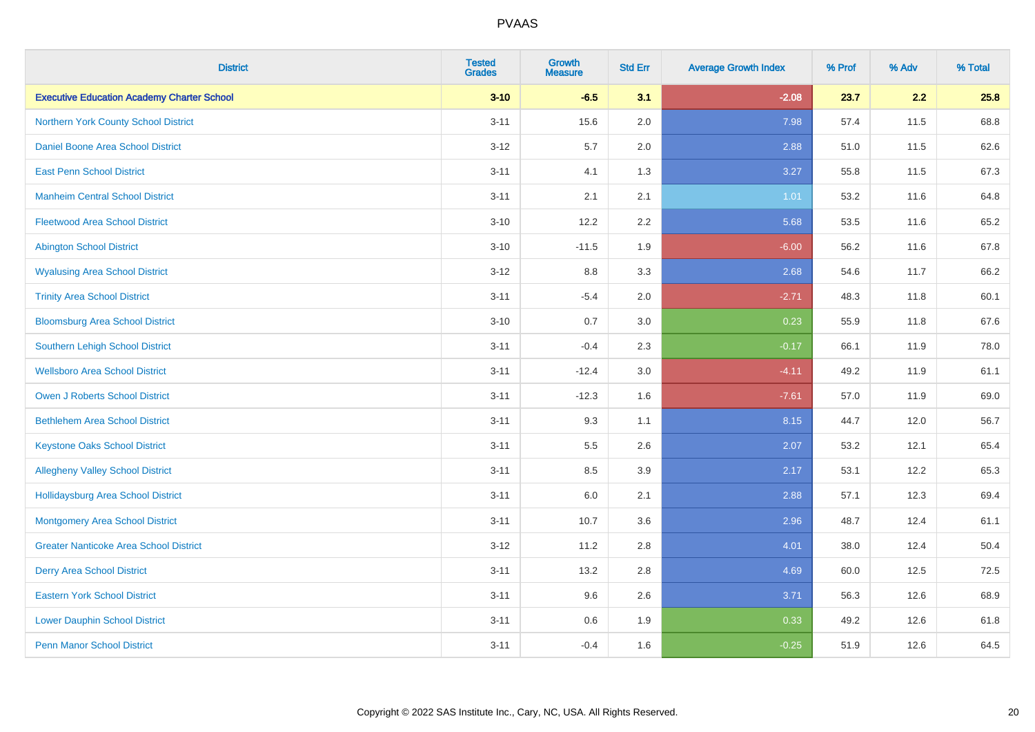| <b>District</b>                                   | <b>Tested</b><br><b>Grades</b> | <b>Growth</b><br><b>Measure</b> | <b>Std Err</b> | <b>Average Growth Index</b> | % Prof | % Adv | % Total |
|---------------------------------------------------|--------------------------------|---------------------------------|----------------|-----------------------------|--------|-------|---------|
| <b>Executive Education Academy Charter School</b> | $3 - 10$                       | $-6.5$                          | 3.1            | $-2.08$                     | 23.7   | 2.2   | 25.8    |
| Northern York County School District              | $3 - 11$                       | 15.6                            | 2.0            | 7.98                        | 57.4   | 11.5  | 68.8    |
| <b>Daniel Boone Area School District</b>          | $3 - 12$                       | 5.7                             | 2.0            | 2.88                        | 51.0   | 11.5  | 62.6    |
| <b>East Penn School District</b>                  | $3 - 11$                       | 4.1                             | 1.3            | 3.27                        | 55.8   | 11.5  | 67.3    |
| <b>Manheim Central School District</b>            | $3 - 11$                       | 2.1                             | 2.1            | 1.01                        | 53.2   | 11.6  | 64.8    |
| <b>Fleetwood Area School District</b>             | $3 - 10$                       | 12.2                            | 2.2            | 5.68                        | 53.5   | 11.6  | 65.2    |
| <b>Abington School District</b>                   | $3 - 10$                       | $-11.5$                         | 1.9            | $-6.00$                     | 56.2   | 11.6  | 67.8    |
| <b>Wyalusing Area School District</b>             | $3 - 12$                       | 8.8                             | 3.3            | 2.68                        | 54.6   | 11.7  | 66.2    |
| <b>Trinity Area School District</b>               | $3 - 11$                       | $-5.4$                          | 2.0            | $-2.71$                     | 48.3   | 11.8  | 60.1    |
| <b>Bloomsburg Area School District</b>            | $3 - 10$                       | $0.7\,$                         | 3.0            | 0.23                        | 55.9   | 11.8  | 67.6    |
| Southern Lehigh School District                   | $3 - 11$                       | $-0.4$                          | 2.3            | $-0.17$                     | 66.1   | 11.9  | 78.0    |
| <b>Wellsboro Area School District</b>             | $3 - 11$                       | $-12.4$                         | 3.0            | $-4.11$                     | 49.2   | 11.9  | 61.1    |
| Owen J Roberts School District                    | $3 - 11$                       | $-12.3$                         | 1.6            | $-7.61$                     | 57.0   | 11.9  | 69.0    |
| <b>Bethlehem Area School District</b>             | $3 - 11$                       | 9.3                             | 1.1            | 8.15                        | 44.7   | 12.0  | 56.7    |
| <b>Keystone Oaks School District</b>              | $3 - 11$                       | $5.5\,$                         | 2.6            | 2.07                        | 53.2   | 12.1  | 65.4    |
| <b>Allegheny Valley School District</b>           | $3 - 11$                       | 8.5                             | 3.9            | 2.17                        | 53.1   | 12.2  | 65.3    |
| <b>Hollidaysburg Area School District</b>         | $3 - 11$                       | $6.0\,$                         | 2.1            | 2.88                        | 57.1   | 12.3  | 69.4    |
| <b>Montgomery Area School District</b>            | $3 - 11$                       | 10.7                            | 3.6            | 2.96                        | 48.7   | 12.4  | 61.1    |
| <b>Greater Nanticoke Area School District</b>     | $3 - 12$                       | 11.2                            | 2.8            | 4.01                        | 38.0   | 12.4  | 50.4    |
| <b>Derry Area School District</b>                 | $3 - 11$                       | 13.2                            | 2.8            | 4.69                        | 60.0   | 12.5  | 72.5    |
| <b>Eastern York School District</b>               | $3 - 11$                       | 9.6                             | 2.6            | 3.71                        | 56.3   | 12.6  | 68.9    |
| <b>Lower Dauphin School District</b>              | $3 - 11$                       | $0.6\,$                         | 1.9            | 0.33                        | 49.2   | 12.6  | 61.8    |
| <b>Penn Manor School District</b>                 | $3 - 11$                       | $-0.4$                          | 1.6            | $-0.25$                     | 51.9   | 12.6  | 64.5    |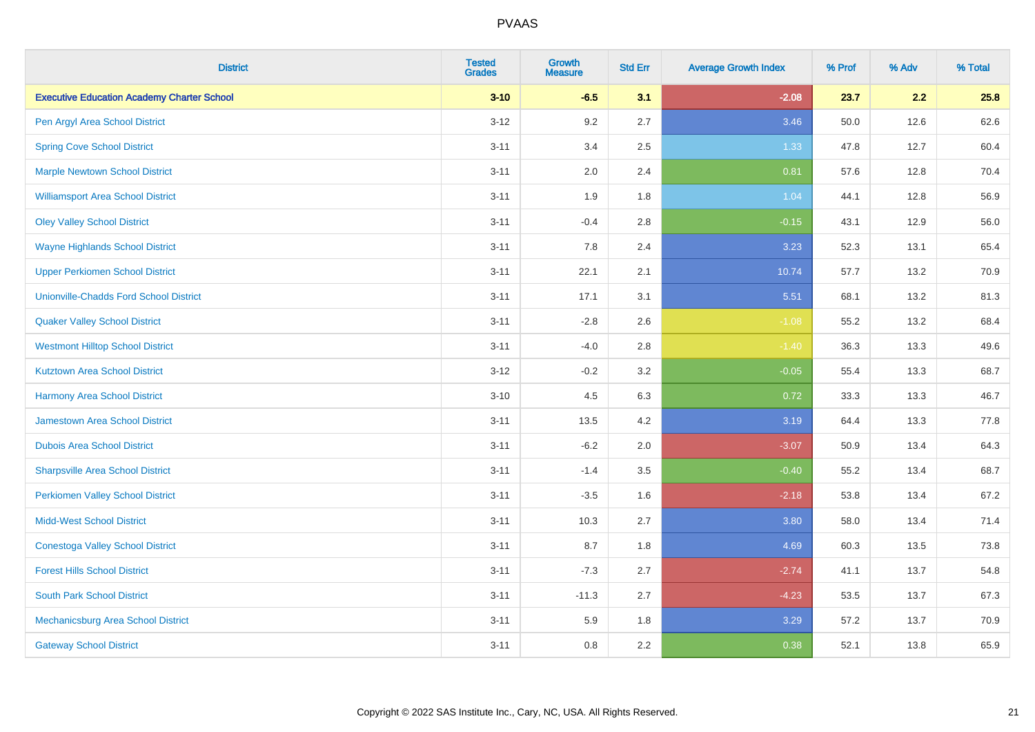| <b>District</b>                                   | <b>Tested</b><br><b>Grades</b> | <b>Growth</b><br><b>Measure</b> | <b>Std Err</b> | <b>Average Growth Index</b> | % Prof | % Adv | % Total |
|---------------------------------------------------|--------------------------------|---------------------------------|----------------|-----------------------------|--------|-------|---------|
| <b>Executive Education Academy Charter School</b> | $3 - 10$                       | $-6.5$                          | 3.1            | $-2.08$                     | 23.7   | 2.2   | 25.8    |
| Pen Argyl Area School District                    | $3 - 12$                       | 9.2                             | 2.7            | 3.46                        | 50.0   | 12.6  | 62.6    |
| <b>Spring Cove School District</b>                | $3 - 11$                       | 3.4                             | 2.5            | 1.33                        | 47.8   | 12.7  | 60.4    |
| <b>Marple Newtown School District</b>             | $3 - 11$                       | 2.0                             | 2.4            | 0.81                        | 57.6   | 12.8  | 70.4    |
| <b>Williamsport Area School District</b>          | $3 - 11$                       | 1.9                             | 1.8            | 1.04                        | 44.1   | 12.8  | 56.9    |
| <b>Oley Valley School District</b>                | $3 - 11$                       | $-0.4$                          | 2.8            | $-0.15$                     | 43.1   | 12.9  | 56.0    |
| <b>Wayne Highlands School District</b>            | $3 - 11$                       | 7.8                             | 2.4            | 3.23                        | 52.3   | 13.1  | 65.4    |
| <b>Upper Perkiomen School District</b>            | $3 - 11$                       | 22.1                            | 2.1            | 10.74                       | 57.7   | 13.2  | 70.9    |
| <b>Unionville-Chadds Ford School District</b>     | $3 - 11$                       | 17.1                            | 3.1            | 5.51                        | 68.1   | 13.2  | 81.3    |
| <b>Quaker Valley School District</b>              | $3 - 11$                       | $-2.8$                          | 2.6            | $-1.08$                     | 55.2   | 13.2  | 68.4    |
| <b>Westmont Hilltop School District</b>           | $3 - 11$                       | $-4.0$                          | 2.8            | $-1.40$                     | 36.3   | 13.3  | 49.6    |
| <b>Kutztown Area School District</b>              | $3 - 12$                       | $-0.2$                          | 3.2            | $-0.05$                     | 55.4   | 13.3  | 68.7    |
| Harmony Area School District                      | $3 - 10$                       | 4.5                             | 6.3            | 0.72                        | 33.3   | 13.3  | 46.7    |
| Jamestown Area School District                    | $3 - 11$                       | 13.5                            | 4.2            | 3.19                        | 64.4   | 13.3  | 77.8    |
| <b>Dubois Area School District</b>                | $3 - 11$                       | $-6.2$                          | 2.0            | $-3.07$                     | 50.9   | 13.4  | 64.3    |
| <b>Sharpsville Area School District</b>           | $3 - 11$                       | $-1.4$                          | 3.5            | $-0.40$                     | 55.2   | 13.4  | 68.7    |
| <b>Perkiomen Valley School District</b>           | $3 - 11$                       | $-3.5$                          | 1.6            | $-2.18$                     | 53.8   | 13.4  | 67.2    |
| <b>Midd-West School District</b>                  | $3 - 11$                       | 10.3                            | 2.7            | 3.80                        | 58.0   | 13.4  | 71.4    |
| <b>Conestoga Valley School District</b>           | $3 - 11$                       | 8.7                             | 1.8            | 4.69                        | 60.3   | 13.5  | 73.8    |
| <b>Forest Hills School District</b>               | $3 - 11$                       | $-7.3$                          | 2.7            | $-2.74$                     | 41.1   | 13.7  | 54.8    |
| <b>South Park School District</b>                 | $3 - 11$                       | $-11.3$                         | 2.7            | $-4.23$                     | 53.5   | 13.7  | 67.3    |
| Mechanicsburg Area School District                | $3 - 11$                       | 5.9                             | 1.8            | 3.29                        | 57.2   | 13.7  | 70.9    |
| <b>Gateway School District</b>                    | $3 - 11$                       | 0.8                             | 2.2            | 0.38                        | 52.1   | 13.8  | 65.9    |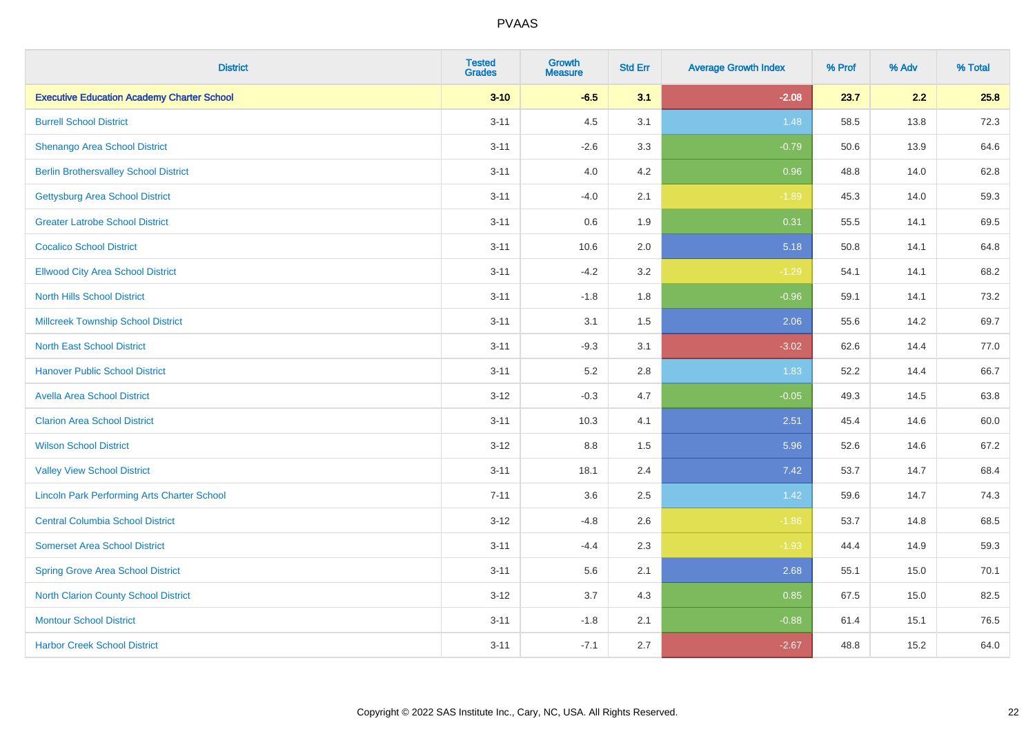| <b>District</b>                                    | <b>Tested</b><br><b>Grades</b> | <b>Growth</b><br><b>Measure</b> | <b>Std Err</b> | <b>Average Growth Index</b> | % Prof | % Adv | % Total |
|----------------------------------------------------|--------------------------------|---------------------------------|----------------|-----------------------------|--------|-------|---------|
| <b>Executive Education Academy Charter School</b>  | $3 - 10$                       | $-6.5$                          | 3.1            | $-2.08$                     | 23.7   | 2.2   | 25.8    |
| <b>Burrell School District</b>                     | $3 - 11$                       | 4.5                             | 3.1            | 1.48                        | 58.5   | 13.8  | 72.3    |
| Shenango Area School District                      | $3 - 11$                       | $-2.6$                          | 3.3            | $-0.79$                     | 50.6   | 13.9  | 64.6    |
| <b>Berlin Brothersvalley School District</b>       | $3 - 11$                       | 4.0                             | 4.2            | 0.96                        | 48.8   | 14.0  | 62.8    |
| <b>Gettysburg Area School District</b>             | $3 - 11$                       | $-4.0$                          | 2.1            | $-1.89$                     | 45.3   | 14.0  | 59.3    |
| <b>Greater Latrobe School District</b>             | $3 - 11$                       | 0.6                             | 1.9            | 0.31                        | 55.5   | 14.1  | 69.5    |
| <b>Cocalico School District</b>                    | $3 - 11$                       | 10.6                            | 2.0            | 5.18                        | 50.8   | 14.1  | 64.8    |
| <b>Ellwood City Area School District</b>           | $3 - 11$                       | $-4.2$                          | 3.2            | $-1.29$                     | 54.1   | 14.1  | 68.2    |
| <b>North Hills School District</b>                 | $3 - 11$                       | $-1.8$                          | 1.8            | $-0.96$                     | 59.1   | 14.1  | 73.2    |
| <b>Millcreek Township School District</b>          | $3 - 11$                       | 3.1                             | 1.5            | 2.06                        | 55.6   | 14.2  | 69.7    |
| <b>North East School District</b>                  | $3 - 11$                       | $-9.3$                          | 3.1            | $-3.02$                     | 62.6   | 14.4  | 77.0    |
| <b>Hanover Public School District</b>              | $3 - 11$                       | 5.2                             | 2.8            | 1.83                        | 52.2   | 14.4  | 66.7    |
| <b>Avella Area School District</b>                 | $3 - 12$                       | $-0.3$                          | 4.7            | $-0.05$                     | 49.3   | 14.5  | 63.8    |
| <b>Clarion Area School District</b>                | $3 - 11$                       | 10.3                            | 4.1            | 2.51                        | 45.4   | 14.6  | 60.0    |
| <b>Wilson School District</b>                      | $3 - 12$                       | $8.8\,$                         | 1.5            | 5.96                        | 52.6   | 14.6  | 67.2    |
| <b>Valley View School District</b>                 | $3 - 11$                       | 18.1                            | 2.4            | 7.42                        | 53.7   | 14.7  | 68.4    |
| <b>Lincoln Park Performing Arts Charter School</b> | $7 - 11$                       | 3.6                             | 2.5            | 1.42                        | 59.6   | 14.7  | 74.3    |
| <b>Central Columbia School District</b>            | $3 - 12$                       | $-4.8$                          | 2.6            | $-1.86$                     | 53.7   | 14.8  | 68.5    |
| <b>Somerset Area School District</b>               | $3 - 11$                       | $-4.4$                          | 2.3            | $-1.93$                     | 44.4   | 14.9  | 59.3    |
| <b>Spring Grove Area School District</b>           | $3 - 11$                       | 5.6                             | 2.1            | 2.68                        | 55.1   | 15.0  | 70.1    |
| <b>North Clarion County School District</b>        | $3 - 12$                       | 3.7                             | 4.3            | 0.85                        | 67.5   | 15.0  | 82.5    |
| <b>Montour School District</b>                     | $3 - 11$                       | $-1.8$                          | 2.1            | $-0.88$                     | 61.4   | 15.1  | 76.5    |
| <b>Harbor Creek School District</b>                | $3 - 11$                       | $-7.1$                          | 2.7            | $-2.67$                     | 48.8   | 15.2  | 64.0    |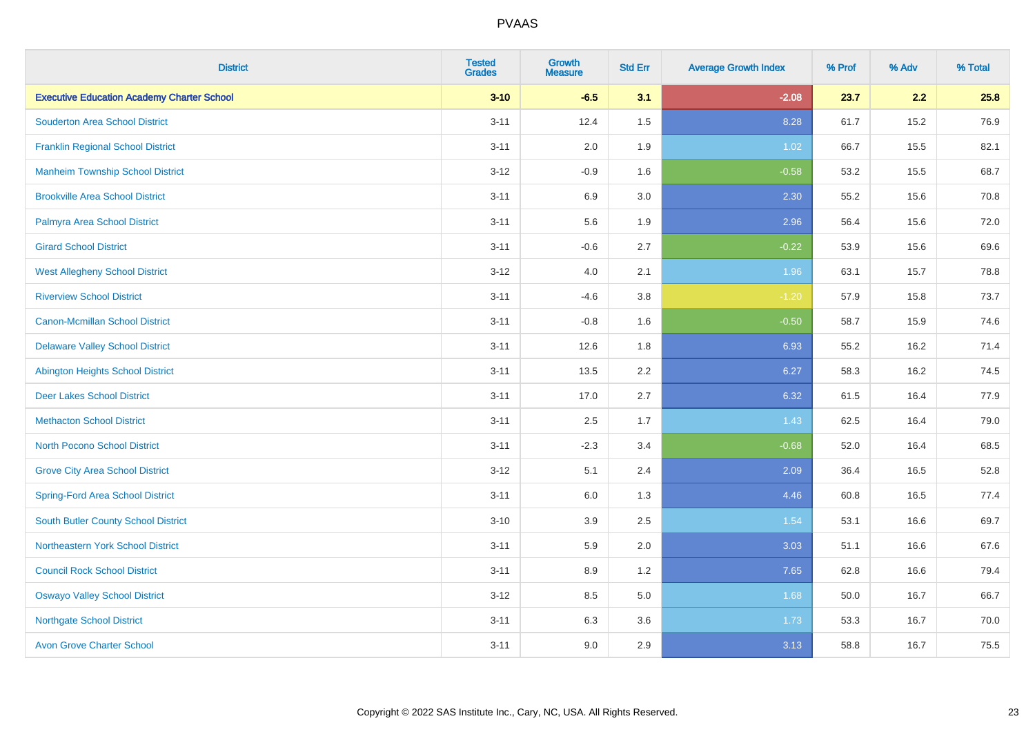| <b>District</b>                                   | <b>Tested</b><br><b>Grades</b> | <b>Growth</b><br><b>Measure</b> | <b>Std Err</b> | <b>Average Growth Index</b> | % Prof | % Adv | % Total |
|---------------------------------------------------|--------------------------------|---------------------------------|----------------|-----------------------------|--------|-------|---------|
| <b>Executive Education Academy Charter School</b> | $3 - 10$                       | $-6.5$                          | 3.1            | $-2.08$                     | 23.7   | 2.2   | 25.8    |
| <b>Souderton Area School District</b>             | $3 - 11$                       | 12.4                            | 1.5            | 8.28                        | 61.7   | 15.2  | 76.9    |
| <b>Franklin Regional School District</b>          | $3 - 11$                       | 2.0                             | 1.9            | 1.02                        | 66.7   | 15.5  | 82.1    |
| <b>Manheim Township School District</b>           | $3 - 12$                       | $-0.9$                          | 1.6            | $-0.58$                     | 53.2   | 15.5  | 68.7    |
| <b>Brookville Area School District</b>            | $3 - 11$                       | 6.9                             | 3.0            | 2.30                        | 55.2   | 15.6  | 70.8    |
| Palmyra Area School District                      | $3 - 11$                       | 5.6                             | 1.9            | 2.96                        | 56.4   | 15.6  | 72.0    |
| <b>Girard School District</b>                     | $3 - 11$                       | $-0.6$                          | 2.7            | $-0.22$                     | 53.9   | 15.6  | 69.6    |
| <b>West Allegheny School District</b>             | $3 - 12$                       | 4.0                             | 2.1            | 1.96                        | 63.1   | 15.7  | 78.8    |
| <b>Riverview School District</b>                  | $3 - 11$                       | $-4.6$                          | 3.8            | $-1.20$                     | 57.9   | 15.8  | 73.7    |
| <b>Canon-Mcmillan School District</b>             | $3 - 11$                       | $-0.8$                          | 1.6            | $-0.50$                     | 58.7   | 15.9  | 74.6    |
| <b>Delaware Valley School District</b>            | $3 - 11$                       | 12.6                            | 1.8            | 6.93                        | 55.2   | 16.2  | 71.4    |
| <b>Abington Heights School District</b>           | $3 - 11$                       | 13.5                            | 2.2            | 6.27                        | 58.3   | 16.2  | 74.5    |
| <b>Deer Lakes School District</b>                 | $3 - 11$                       | 17.0                            | 2.7            | 6.32                        | 61.5   | 16.4  | 77.9    |
| <b>Methacton School District</b>                  | $3 - 11$                       | 2.5                             | 1.7            | 1.43                        | 62.5   | 16.4  | 79.0    |
| <b>North Pocono School District</b>               | $3 - 11$                       | $-2.3$                          | 3.4            | $-0.68$                     | 52.0   | 16.4  | 68.5    |
| <b>Grove City Area School District</b>            | $3 - 12$                       | 5.1                             | 2.4            | 2.09                        | 36.4   | 16.5  | 52.8    |
| <b>Spring-Ford Area School District</b>           | $3 - 11$                       | 6.0                             | 1.3            | 4.46                        | 60.8   | 16.5  | 77.4    |
| <b>South Butler County School District</b>        | $3 - 10$                       | 3.9                             | 2.5            | 1.54                        | 53.1   | 16.6  | 69.7    |
| <b>Northeastern York School District</b>          | $3 - 11$                       | 5.9                             | 2.0            | 3.03                        | 51.1   | 16.6  | 67.6    |
| <b>Council Rock School District</b>               | $3 - 11$                       | 8.9                             | 1.2            | 7.65                        | 62.8   | 16.6  | 79.4    |
| <b>Oswayo Valley School District</b>              | $3 - 12$                       | 8.5                             | 5.0            | 1.68                        | 50.0   | 16.7  | 66.7    |
| <b>Northgate School District</b>                  | $3 - 11$                       | 6.3                             | 3.6            | 1.73                        | 53.3   | 16.7  | 70.0    |
| <b>Avon Grove Charter School</b>                  | $3 - 11$                       | 9.0                             | 2.9            | 3.13                        | 58.8   | 16.7  | 75.5    |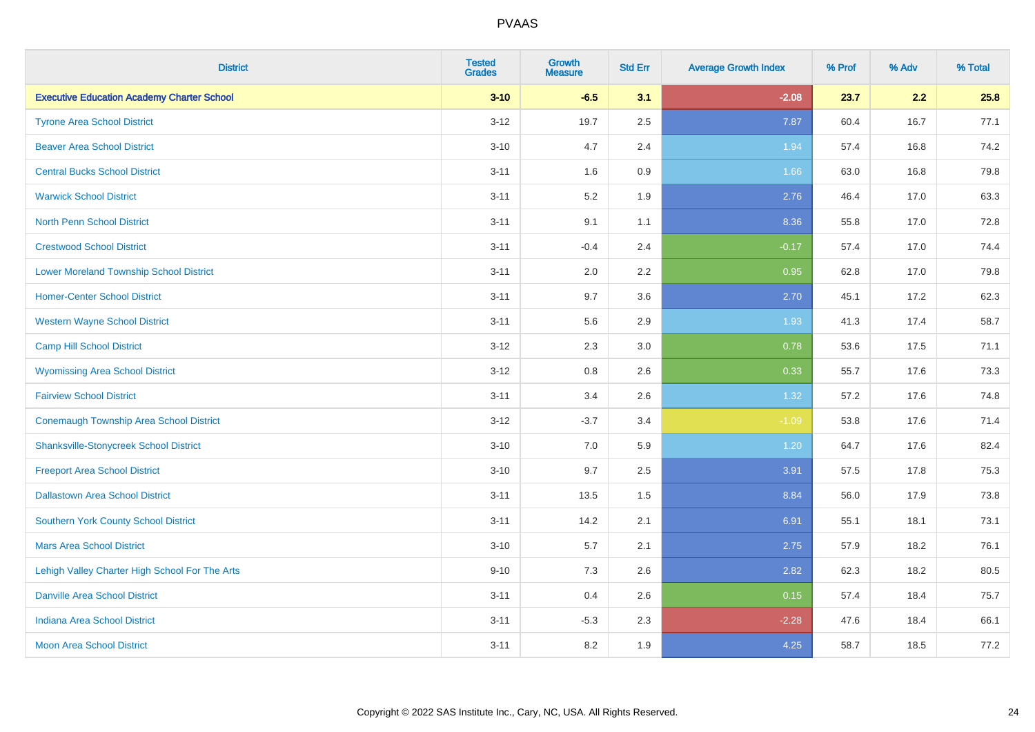| <b>District</b>                                   | <b>Tested</b><br><b>Grades</b> | <b>Growth</b><br><b>Measure</b> | <b>Std Err</b> | <b>Average Growth Index</b> | % Prof | % Adv | % Total |
|---------------------------------------------------|--------------------------------|---------------------------------|----------------|-----------------------------|--------|-------|---------|
| <b>Executive Education Academy Charter School</b> | $3 - 10$                       | $-6.5$                          | 3.1            | $-2.08$                     | 23.7   | 2.2   | 25.8    |
| <b>Tyrone Area School District</b>                | $3 - 12$                       | 19.7                            | 2.5            | 7.87                        | 60.4   | 16.7  | 77.1    |
| <b>Beaver Area School District</b>                | $3 - 10$                       | 4.7                             | 2.4            | 1.94                        | 57.4   | 16.8  | 74.2    |
| <b>Central Bucks School District</b>              | $3 - 11$                       | 1.6                             | 0.9            | 1.66                        | 63.0   | 16.8  | 79.8    |
| <b>Warwick School District</b>                    | $3 - 11$                       | 5.2                             | 1.9            | 2.76                        | 46.4   | 17.0  | 63.3    |
| <b>North Penn School District</b>                 | $3 - 11$                       | 9.1                             | 1.1            | 8.36                        | 55.8   | 17.0  | 72.8    |
| <b>Crestwood School District</b>                  | $3 - 11$                       | $-0.4$                          | 2.4            | $-0.17$                     | 57.4   | 17.0  | 74.4    |
| <b>Lower Moreland Township School District</b>    | $3 - 11$                       | 2.0                             | 2.2            | 0.95                        | 62.8   | 17.0  | 79.8    |
| <b>Homer-Center School District</b>               | $3 - 11$                       | 9.7                             | 3.6            | 2.70                        | 45.1   | 17.2  | 62.3    |
| <b>Western Wayne School District</b>              | $3 - 11$                       | 5.6                             | 2.9            | 1.93                        | 41.3   | 17.4  | 58.7    |
| <b>Camp Hill School District</b>                  | $3 - 12$                       | 2.3                             | 3.0            | 0.78                        | 53.6   | 17.5  | 71.1    |
| <b>Wyomissing Area School District</b>            | $3 - 12$                       | 0.8                             | 2.6            | 0.33                        | 55.7   | 17.6  | 73.3    |
| <b>Fairview School District</b>                   | $3 - 11$                       | 3.4                             | 2.6            | 1.32                        | 57.2   | 17.6  | 74.8    |
| <b>Conemaugh Township Area School District</b>    | $3 - 12$                       | $-3.7$                          | 3.4            | $-1.09$                     | 53.8   | 17.6  | 71.4    |
| <b>Shanksville-Stonycreek School District</b>     | $3 - 10$                       | 7.0                             | 5.9            | 1.20                        | 64.7   | 17.6  | 82.4    |
| <b>Freeport Area School District</b>              | $3 - 10$                       | 9.7                             | 2.5            | 3.91                        | 57.5   | 17.8  | 75.3    |
| <b>Dallastown Area School District</b>            | $3 - 11$                       | 13.5                            | 1.5            | 8.84                        | 56.0   | 17.9  | 73.8    |
| <b>Southern York County School District</b>       | $3 - 11$                       | 14.2                            | 2.1            | 6.91                        | 55.1   | 18.1  | 73.1    |
| <b>Mars Area School District</b>                  | $3 - 10$                       | 5.7                             | 2.1            | 2.75                        | 57.9   | 18.2  | 76.1    |
| Lehigh Valley Charter High School For The Arts    | $9 - 10$                       | 7.3                             | 2.6            | 2.82                        | 62.3   | 18.2  | 80.5    |
| <b>Danville Area School District</b>              | $3 - 11$                       | 0.4                             | 2.6            | 0.15                        | 57.4   | 18.4  | 75.7    |
| <b>Indiana Area School District</b>               | $3 - 11$                       | $-5.3$                          | 2.3            | $-2.28$                     | 47.6   | 18.4  | 66.1    |
| <b>Moon Area School District</b>                  | $3 - 11$                       | 8.2                             | 1.9            | 4.25                        | 58.7   | 18.5  | 77.2    |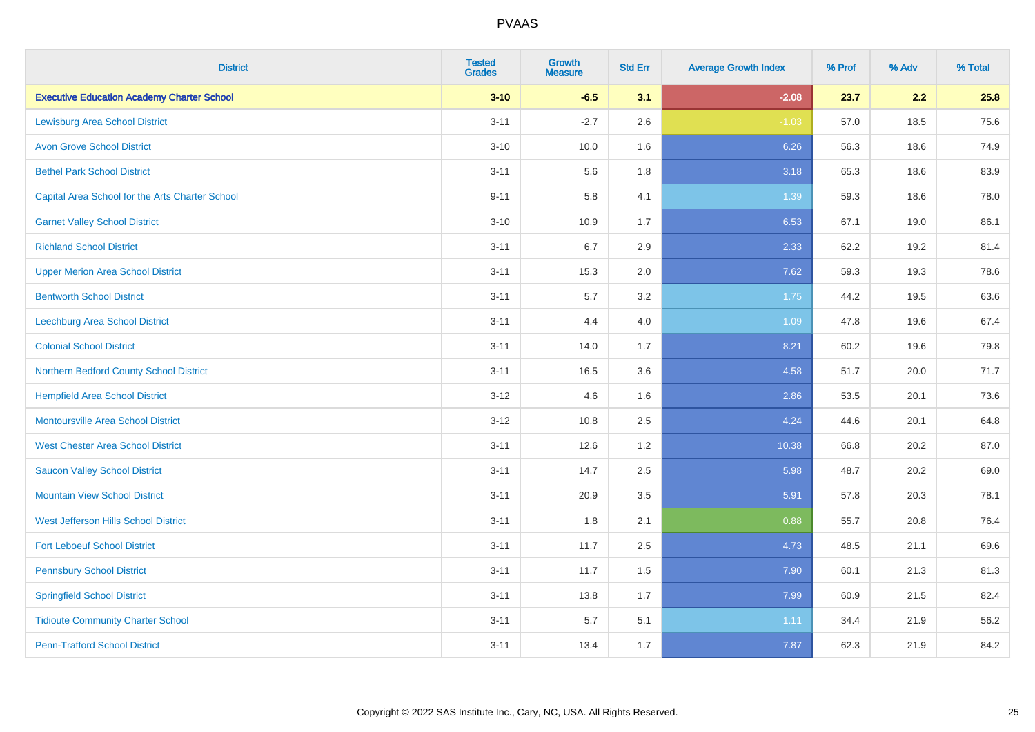| <b>District</b>                                   | <b>Tested</b><br><b>Grades</b> | <b>Growth</b><br><b>Measure</b> | <b>Std Err</b> | <b>Average Growth Index</b> | % Prof | % Adv | % Total |
|---------------------------------------------------|--------------------------------|---------------------------------|----------------|-----------------------------|--------|-------|---------|
| <b>Executive Education Academy Charter School</b> | $3 - 10$                       | $-6.5$                          | 3.1            | $-2.08$                     | 23.7   | 2.2   | 25.8    |
| <b>Lewisburg Area School District</b>             | $3 - 11$                       | $-2.7$                          | 2.6            | $-1.03$                     | 57.0   | 18.5  | 75.6    |
| <b>Avon Grove School District</b>                 | $3 - 10$                       | 10.0                            | 1.6            | 6.26                        | 56.3   | 18.6  | 74.9    |
| <b>Bethel Park School District</b>                | $3 - 11$                       | 5.6                             | 1.8            | 3.18                        | 65.3   | 18.6  | 83.9    |
| Capital Area School for the Arts Charter School   | $9 - 11$                       | 5.8                             | 4.1            | 1.39                        | 59.3   | 18.6  | 78.0    |
| <b>Garnet Valley School District</b>              | $3 - 10$                       | 10.9                            | 1.7            | 6.53                        | 67.1   | 19.0  | 86.1    |
| <b>Richland School District</b>                   | $3 - 11$                       | 6.7                             | 2.9            | 2.33                        | 62.2   | 19.2  | 81.4    |
| <b>Upper Merion Area School District</b>          | $3 - 11$                       | 15.3                            | 2.0            | 7.62                        | 59.3   | 19.3  | 78.6    |
| <b>Bentworth School District</b>                  | $3 - 11$                       | 5.7                             | 3.2            | 1.75                        | 44.2   | 19.5  | 63.6    |
| <b>Leechburg Area School District</b>             | $3 - 11$                       | 4.4                             | 4.0            | 1.09                        | 47.8   | 19.6  | 67.4    |
| <b>Colonial School District</b>                   | $3 - 11$                       | 14.0                            | 1.7            | 8.21                        | 60.2   | 19.6  | 79.8    |
| Northern Bedford County School District           | $3 - 11$                       | 16.5                            | 3.6            | 4.58                        | 51.7   | 20.0  | 71.7    |
| <b>Hempfield Area School District</b>             | $3 - 12$                       | 4.6                             | 1.6            | 2.86                        | 53.5   | 20.1  | 73.6    |
| <b>Montoursville Area School District</b>         | $3 - 12$                       | 10.8                            | 2.5            | 4.24                        | 44.6   | 20.1  | 64.8    |
| <b>West Chester Area School District</b>          | $3 - 11$                       | 12.6                            | 1.2            | 10.38                       | 66.8   | 20.2  | 87.0    |
| <b>Saucon Valley School District</b>              | $3 - 11$                       | 14.7                            | 2.5            | 5.98                        | 48.7   | 20.2  | 69.0    |
| <b>Mountain View School District</b>              | $3 - 11$                       | 20.9                            | 3.5            | 5.91                        | 57.8   | 20.3  | 78.1    |
| West Jefferson Hills School District              | $3 - 11$                       | 1.8                             | 2.1            | 0.88                        | 55.7   | 20.8  | 76.4    |
| <b>Fort Leboeuf School District</b>               | $3 - 11$                       | 11.7                            | 2.5            | 4.73                        | 48.5   | 21.1  | 69.6    |
| <b>Pennsbury School District</b>                  | $3 - 11$                       | 11.7                            | 1.5            | 7.90                        | 60.1   | 21.3  | 81.3    |
| <b>Springfield School District</b>                | $3 - 11$                       | 13.8                            | 1.7            | 7.99                        | 60.9   | 21.5  | 82.4    |
| <b>Tidioute Community Charter School</b>          | $3 - 11$                       | 5.7                             | 5.1            | 1.11                        | 34.4   | 21.9  | 56.2    |
| <b>Penn-Trafford School District</b>              | $3 - 11$                       | 13.4                            | 1.7            | 7.87                        | 62.3   | 21.9  | 84.2    |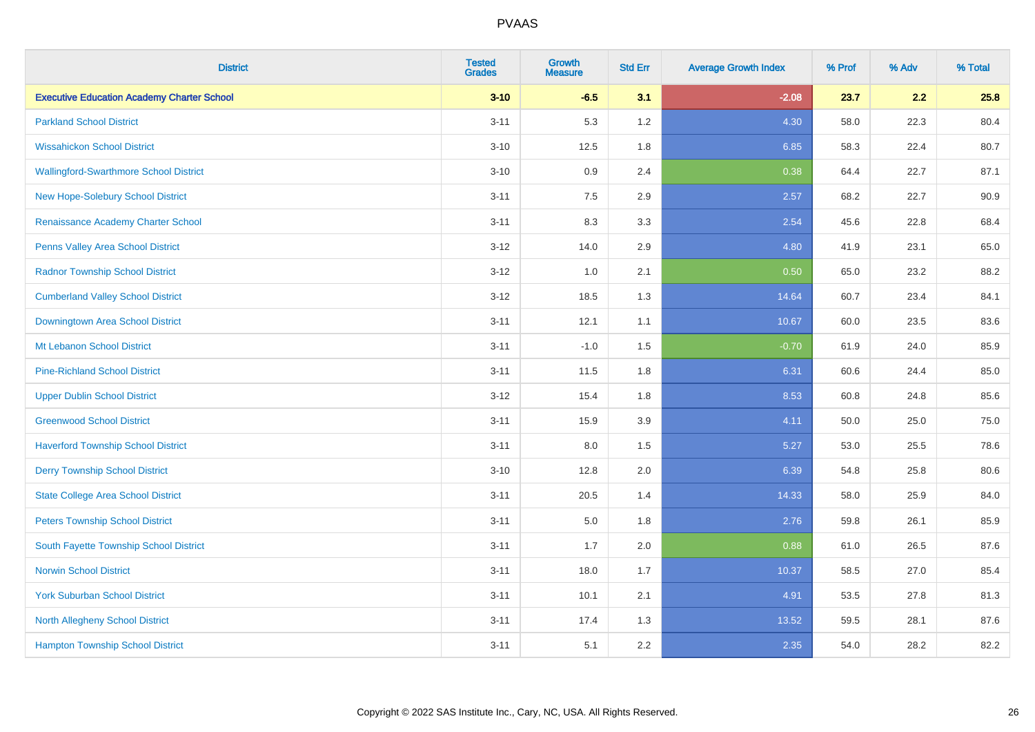| <b>District</b>                                   | <b>Tested</b><br><b>Grades</b> | <b>Growth</b><br><b>Measure</b> | <b>Std Err</b> | <b>Average Growth Index</b> | % Prof | % Adv | % Total |
|---------------------------------------------------|--------------------------------|---------------------------------|----------------|-----------------------------|--------|-------|---------|
| <b>Executive Education Academy Charter School</b> | $3 - 10$                       | $-6.5$                          | 3.1            | $-2.08$                     | 23.7   | 2.2   | 25.8    |
| <b>Parkland School District</b>                   | $3 - 11$                       | 5.3                             | 1.2            | 4.30                        | 58.0   | 22.3  | 80.4    |
| <b>Wissahickon School District</b>                | $3 - 10$                       | 12.5                            | 1.8            | 6.85                        | 58.3   | 22.4  | 80.7    |
| <b>Wallingford-Swarthmore School District</b>     | $3 - 10$                       | $0.9\,$                         | 2.4            | 0.38                        | 64.4   | 22.7  | 87.1    |
| New Hope-Solebury School District                 | $3 - 11$                       | 7.5                             | 2.9            | 2.57                        | 68.2   | 22.7  | 90.9    |
| Renaissance Academy Charter School                | $3 - 11$                       | 8.3                             | 3.3            | 2.54                        | 45.6   | 22.8  | 68.4    |
| Penns Valley Area School District                 | $3 - 12$                       | 14.0                            | 2.9            | 4.80                        | 41.9   | 23.1  | 65.0    |
| <b>Radnor Township School District</b>            | $3 - 12$                       | 1.0                             | 2.1            | 0.50                        | 65.0   | 23.2  | 88.2    |
| <b>Cumberland Valley School District</b>          | $3 - 12$                       | 18.5                            | 1.3            | 14.64                       | 60.7   | 23.4  | 84.1    |
| Downingtown Area School District                  | $3 - 11$                       | 12.1                            | 1.1            | 10.67                       | 60.0   | 23.5  | 83.6    |
| Mt Lebanon School District                        | $3 - 11$                       | $-1.0$                          | 1.5            | $-0.70$                     | 61.9   | 24.0  | 85.9    |
| <b>Pine-Richland School District</b>              | $3 - 11$                       | 11.5                            | 1.8            | 6.31                        | 60.6   | 24.4  | 85.0    |
| <b>Upper Dublin School District</b>               | $3 - 12$                       | 15.4                            | 1.8            | 8.53                        | 60.8   | 24.8  | 85.6    |
| <b>Greenwood School District</b>                  | $3 - 11$                       | 15.9                            | 3.9            | 4.11                        | 50.0   | 25.0  | 75.0    |
| <b>Haverford Township School District</b>         | $3 - 11$                       | $8.0\,$                         | 1.5            | 5.27                        | 53.0   | 25.5  | 78.6    |
| <b>Derry Township School District</b>             | $3 - 10$                       | 12.8                            | 2.0            | 6.39                        | 54.8   | 25.8  | 80.6    |
| <b>State College Area School District</b>         | $3 - 11$                       | 20.5                            | 1.4            | 14.33                       | 58.0   | 25.9  | 84.0    |
| <b>Peters Township School District</b>            | $3 - 11$                       | $5.0\,$                         | 1.8            | 2.76                        | 59.8   | 26.1  | 85.9    |
| South Fayette Township School District            | $3 - 11$                       | 1.7                             | 2.0            | 0.88                        | 61.0   | 26.5  | 87.6    |
| <b>Norwin School District</b>                     | $3 - 11$                       | 18.0                            | 1.7            | 10.37                       | 58.5   | 27.0  | 85.4    |
| <b>York Suburban School District</b>              | $3 - 11$                       | 10.1                            | 2.1            | 4.91                        | 53.5   | 27.8  | 81.3    |
| <b>North Allegheny School District</b>            | $3 - 11$                       | 17.4                            | 1.3            | 13.52                       | 59.5   | 28.1  | 87.6    |
| <b>Hampton Township School District</b>           | $3 - 11$                       | 5.1                             | 2.2            | 2.35                        | 54.0   | 28.2  | 82.2    |